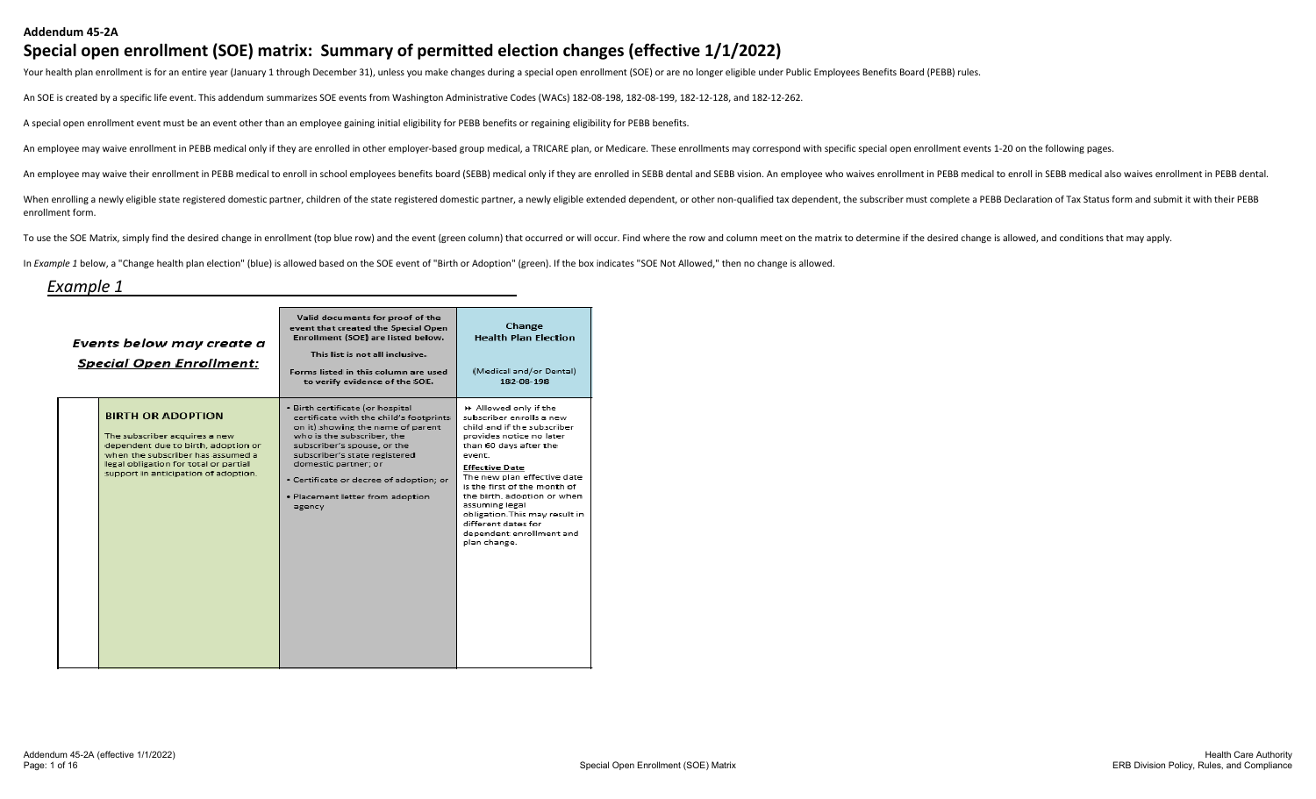#### **Addendum 45-2A**

#### **Special open enrollment (SOE) matrix: Summary of permitted election changes (effective 1/1/2022)**

Your health plan enrollment is for an entire year (January 1 through December 31), unless you make changes during a special open enrollment (SOE) or are no longer eligible under Public Employees Benefits Board (PEBB) rules

An SOE is created by a specific life event. This addendum summarizes SOE events from Washington Administrative Codes (WACs) 182-08-198, 182-08-199, 182-12-128, and 182-12-262.

A special open enrollment event must be an event other than an employee gaining initial eligibility for PEBB benefits or regaining eligibility for PEBB benefits.

An employee may waive enrollment in PEBB medical only if they are enrolled in other employer-based group medical, a TRICARE plan, or Medicare. These enrollments may correspond with specific special open enrollment events 1

An employee may waive their enrollment in PEBB medical to enroll in school employees benefits board (SEBB) medical only if they are enrolled in SEBB dental and SEBB vision. An employee who waives enrollment in PEBB medical

When enrolling a newly eligible state registered domestic partner, children of the state registered domestic parther, a newly eligible extended dependent, or other non-qualified tax dependent, the subscriber must complete enrollment form.

To use the SOE Matrix, simply find the desired change in enrollment (top blue row) and the event (green column) that occurred or will occur. Find where the row and column meet on the matrix to determine if the desired chan

In *Example 1* below, a "Change health plan election" (blue) is allowed based on the SOE event of "Birth or Adoption" (green). If the box indicates "SOE Not Allowed," then no change is allowed.

#### *Example 1*

| Events below may create a<br><b>Special Open Enrollment:</b>                                                                                                                                                           | Valid documents for proof of the<br>event that created the Special Open<br>Enrollment (SOE) are listed below.<br>This list is not all inclusive.<br>Forms listed in this column are used.<br>to verify evidence of the SOE.                                                                                                     | Change<br><b>Health Plan Election</b><br>(Medical and/or Dental)<br>182-08-198                                                                                                                                                                                                                                                                                                                 |
|------------------------------------------------------------------------------------------------------------------------------------------------------------------------------------------------------------------------|---------------------------------------------------------------------------------------------------------------------------------------------------------------------------------------------------------------------------------------------------------------------------------------------------------------------------------|------------------------------------------------------------------------------------------------------------------------------------------------------------------------------------------------------------------------------------------------------------------------------------------------------------------------------------------------------------------------------------------------|
| <b>BIRTH OR ADOPTION</b><br>The subscriber acquires a new<br>dependent due to birth, adoption or<br>when the subscriber has assumed a<br>legal obligation for total or partial<br>support in anticipation of adoption. | . Birth certificate (or hospital<br>certificate with the child's footprints<br>on it) showing the name of parent<br>who is the subscriber, the<br>subscriber's spouse, or the<br>subscriber's state registered<br>domestic partner; or<br>· Certificate or decree of adoption; or<br>· Placement letter from adoption<br>agency | ▶ Allowed only if the<br>subscriber enrolls a new<br>child and if the subscriber<br>provides notice no later<br>than 60 days after the<br>event.<br><b>Effective Date</b><br>The new plan effective date<br>is the first of the month of<br>the birth, adoption or when<br>assuming legal<br>obligation. This may result in<br>different dates for<br>dependent enrollment and<br>plan change. |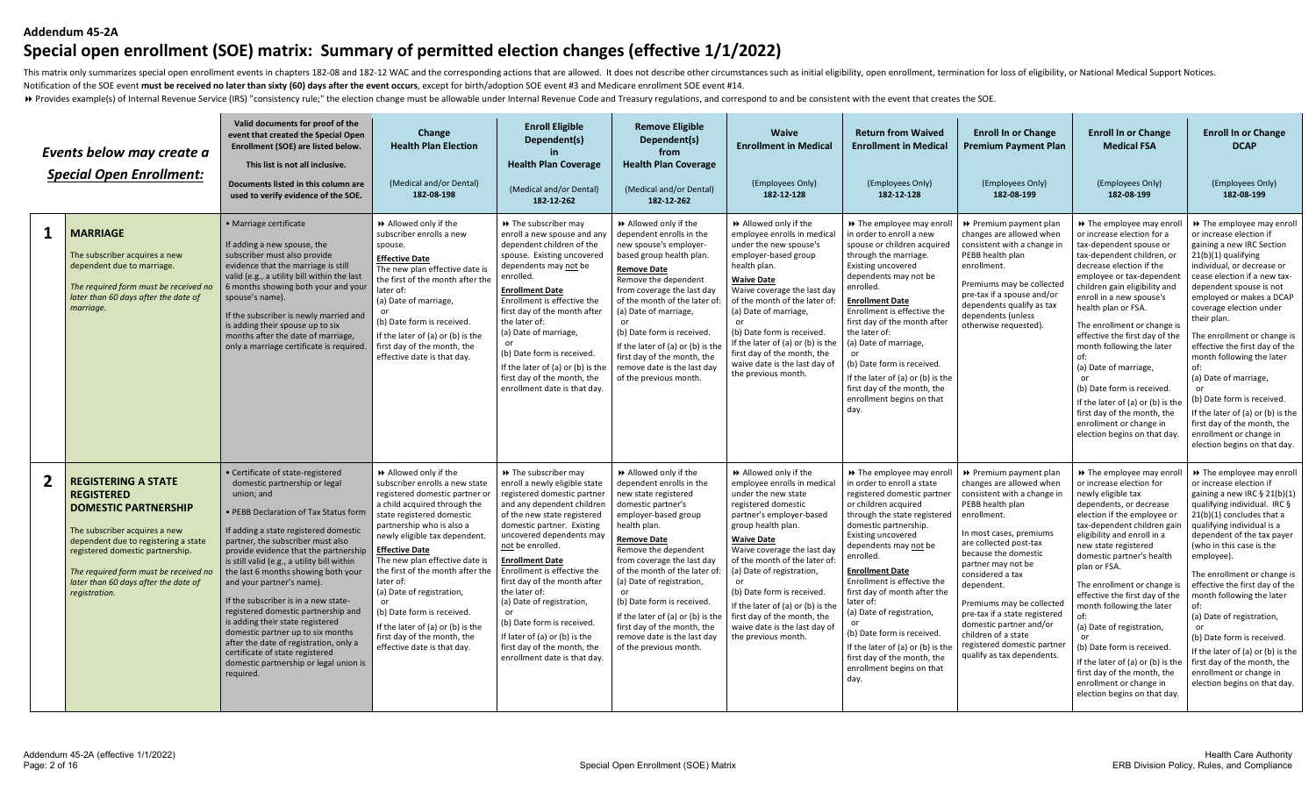#### **Addendum 45-2A**

# **Special open enrollment (SOE) matrix: Summary of permitted election changes (effective 1/1/2022)**

This matrix only summarizes special open enrollment events in chapters 182-08 and 182-12 WAC and the corresponding actions that are allowed. It does not describe other circumstances such as initial eligibility, open enroll Notification of the SOE event **must be received no later than sixty (60) days after the event occurs**, except for birth/adoption SOE event #3 and Medicare enrollment SOE event #14.

>> Provides example(s) of Internal Revenue Service (IRS) "consistency rule;" the election change must be allowable under Internal Revenue Code and Treasury regulations, and correspond to and be consistent with the event th

|   | Events below may create a<br><b>Special Open Enrollment:</b>                                                                                                                                                                                                                                  | Valid documents for proof of the<br>event that created the Special Open<br>Enrollment (SOE) are listed below.<br>This list is not all inclusive.<br>Documents listed in this column are<br>used to verify evidence of the SOE.                                                                                                                                                                                                                                                                                                                                                                                                                                  | Change<br><b>Health Plan Election</b><br>(Medical and/or Dental)<br>182-08-198                                                                                                                                                                                                                                                                                                                                                                                                                        | <b>Enroll Eligible</b><br>Dependent(s)<br><b>Health Plan Coverage</b><br>(Medical and/or Dental)<br>182-12-262                                                                                                                                                                                                                                                                                                                                                                                       | <b>Remove Eligible</b><br>Dependent(s)<br>from<br><b>Health Plan Coverage</b><br>(Medical and/or Dental)<br>182-12-262                                                                                                                                                                                                                                                                                                                              | Waive<br><b>Enrollment in Medical</b><br>(Employees Only)<br>182-12-128                                                                                                                                                                                                                                                                                                                                                         | <b>Return from Waived</b><br><b>Enrollment in Medical</b><br>(Employees Only)<br>182-12-128                                                                                                                                                                                                                                                                                                                                                                                                                           | <b>Enroll In or Change</b><br><b>Premium Payment Plan</b><br>(Employees Only)<br>182-08-199                                                                                                                                                                                                                                                                                                                                            | <b>Enroll In or Change</b><br><b>Medical FSA</b><br>(Employees Only)<br>182-08-199                                                                                                                                                                                                                                                                                                                                                                                                                                                                             | <b>Enroll In or Change</b><br><b>DCAP</b><br>(Employees Only)<br>182-08-199                                                                                                                                                                                                                                                                                                                                                                                                                                                                                               |
|---|-----------------------------------------------------------------------------------------------------------------------------------------------------------------------------------------------------------------------------------------------------------------------------------------------|-----------------------------------------------------------------------------------------------------------------------------------------------------------------------------------------------------------------------------------------------------------------------------------------------------------------------------------------------------------------------------------------------------------------------------------------------------------------------------------------------------------------------------------------------------------------------------------------------------------------------------------------------------------------|-------------------------------------------------------------------------------------------------------------------------------------------------------------------------------------------------------------------------------------------------------------------------------------------------------------------------------------------------------------------------------------------------------------------------------------------------------------------------------------------------------|------------------------------------------------------------------------------------------------------------------------------------------------------------------------------------------------------------------------------------------------------------------------------------------------------------------------------------------------------------------------------------------------------------------------------------------------------------------------------------------------------|-----------------------------------------------------------------------------------------------------------------------------------------------------------------------------------------------------------------------------------------------------------------------------------------------------------------------------------------------------------------------------------------------------------------------------------------------------|---------------------------------------------------------------------------------------------------------------------------------------------------------------------------------------------------------------------------------------------------------------------------------------------------------------------------------------------------------------------------------------------------------------------------------|-----------------------------------------------------------------------------------------------------------------------------------------------------------------------------------------------------------------------------------------------------------------------------------------------------------------------------------------------------------------------------------------------------------------------------------------------------------------------------------------------------------------------|----------------------------------------------------------------------------------------------------------------------------------------------------------------------------------------------------------------------------------------------------------------------------------------------------------------------------------------------------------------------------------------------------------------------------------------|----------------------------------------------------------------------------------------------------------------------------------------------------------------------------------------------------------------------------------------------------------------------------------------------------------------------------------------------------------------------------------------------------------------------------------------------------------------------------------------------------------------------------------------------------------------|---------------------------------------------------------------------------------------------------------------------------------------------------------------------------------------------------------------------------------------------------------------------------------------------------------------------------------------------------------------------------------------------------------------------------------------------------------------------------------------------------------------------------------------------------------------------------|
| 1 | <b>MARRIAGE</b><br>The subscriber acquires a new<br>dependent due to marriage.<br>The required form must be received no<br>later than 60 days after the date of<br>marriage.                                                                                                                  | · Marriage certificate<br>If adding a new spouse, the<br>subscriber must also provide<br>evidence that the marriage is still<br>valid (e.g., a utility bill within the last<br>6 months showing both your and your<br>spouse's name).<br>If the subscriber is newly married and<br>is adding their spouse up to six<br>months after the date of marriage,<br>only a marriage certificate is required.                                                                                                                                                                                                                                                           | Allowed only if the<br>subscriber enrolls a new<br>spouse.<br><b>Effective Date</b><br>The new plan effective date is<br>the first of the month after the<br>later of:<br>(a) Date of marriage,<br>(b) Date form is received.<br>If the later of (a) or (b) is the<br>first day of the month, the<br>effective date is that day.                                                                                                                                                                      | >> The subscriber may<br>enroll a new spouse and any<br>dependent children of the<br>spouse. Existing uncovered<br>dependents may not be<br>enrolled.<br><b>Enrollment Date</b><br>Enrollment is effective the<br>first day of the month after<br>the later of:<br>(a) Date of marriage,<br>(b) Date form is received.<br>If the later of (a) or (b) is the<br>first day of the month, the<br>enrollment date is that day                                                                            | Allowed only if the<br>dependent enrolls in the<br>new spouse's employer-<br>based group health plan.<br><b>Remove Date</b><br>Remove the dependent<br>from coverage the last day<br>of the month of the later of:<br>(a) Date of marriage,<br>or<br>(b) Date form is received<br>If the later of (a) or (b) is the<br>first day of the month, the<br>remove date is the last day<br>of the previous month.                                         | >> Allowed only if the<br>employee enrolls in medica<br>under the new spouse's<br>employer-based group<br>health plan.<br><b>Waive Date</b><br>Waive coverage the last day<br>of the month of the later of<br>(a) Date of marriage,<br>(b) Date form is received.<br>If the later of (a) or (b) is the<br>first day of the month, the<br>waive date is the last day of<br>the previous month.                                   | >> The employee may enroll<br>in order to enroll a new<br>spouse or children acquired<br>through the marriage.<br><b>Existing uncovered</b><br>dependents may not be<br>enrolled.<br><b>Enrollment Date</b><br>Enrollment is effective the<br>first day of the month after<br>the later of:<br>(a) Date of marriage,<br>or<br>(b) Date form is received.<br>If the later of (a) or (b) is the<br>first day of the month, the<br>enrollment begins on that<br>day.                                                     | ▶ Premium payment plan<br>changes are allowed when<br>consistent with a change in<br>PEBB health plan<br>enrollment.<br>Premiums may be collected<br>pre-tax if a spouse and/or<br>dependents qualify as tax<br>dependents (unless<br>otherwise requested).                                                                                                                                                                            | >> The employee may enro<br>or increase election for a<br>tax-dependent spouse or<br>tax-dependent children, or<br>decrease election if the<br>employee or tax-dependent<br>children gain eligibility and<br>enroll in a new spouse's<br>health plan or FSA.<br>The enrollment or change is<br>effective the first day of the<br>month following the later<br>(a) Date of marriage,<br>(b) Date form is received.<br>If the later of (a) or (b) is the<br>first day of the month, the<br>enrollment or change in<br>election begins on that day.               | >> The employee may enroll<br>or increase election if<br>gaining a new IRC Section<br>21(b)(1) qualifying<br>individual, or decrease or<br>cease election if a new tax-<br>dependent spouse is not<br>employed or makes a DCAP<br>coverage election under<br>their plan.<br>The enrollment or change is<br>effective the first day of the<br>month following the later<br>nf.<br>(a) Date of marriage,<br>or<br>(b) Date form is received.<br>If the later of (a) or (b) is the<br>first day of the month, the<br>enrollment or change in<br>election begins on that day. |
| 2 | <b>REGISTERING A STATE</b><br><b>REGISTERED</b><br><b>DOMESTIC PARTNERSHIP</b><br>The subscriber acquires a new<br>dependent due to registering a state<br>registered domestic partnership.<br>The required form must be received no<br>later than 60 days after the date of<br>registration. | • Certificate of state-registered<br>domestic partnership or legal<br>union: and<br>· PEBB Declaration of Tax Status form<br>If adding a state registered domestic<br>partner, the subscriber must also<br>provide evidence that the partnership<br>is still valid (e.g., a utility bill within<br>the last 6 months showing both your<br>and your partner's name).<br>If the subscriber is in a new state-<br>registered domestic partnership and<br>is adding their state registered<br>domestic partner up to six months<br>after the date of registration, only a<br>certificate of state registered<br>domestic partnership or legal union is<br>required. | >> Allowed only if the<br>subscriber enrolls a new state<br>registered domestic partner or<br>a child acquired through the<br>state registered domestic<br>partnership who is also a<br>newly eligible tax dependent.<br><b>Effective Date</b><br>The new plan effective date is<br>the first of the month after the<br>later of:<br>(a) Date of registration,<br>or<br>(b) Date form is received.<br>If the later of (a) or (b) is the<br>first day of the month, the<br>effective date is that day. | >> The subscriber may<br>enroll a newly eligible state<br>registered domestic partner<br>and any dependent children<br>of the new state registered<br>domestic partner. Existing<br>uncovered dependents may<br>not be enrolled.<br><b>Enrollment Date</b><br>Enrollment is effective the<br>first day of the month after<br>the later of:<br>(a) Date of registration,<br>(b) Date form is received.<br>If later of (a) or (b) is the<br>first day of the month, the<br>enrollment date is that day | >> Allowed only if the<br>dependent enrolls in the<br>new state registered<br>domestic partner's<br>employer-based group<br>health plan.<br><b>Remove Date</b><br>Remove the dependent<br>from coverage the last day<br>of the month of the later of:<br>(a) Date of registration,<br>or<br>(b) Date form is received.<br>If the later of (a) or (b) is the<br>first day of the month, the<br>remove date is the last day<br>of the previous month. | >> Allowed only if the<br>employee enrolls in medical<br>under the new state<br>registered domestic<br>partner's employer-based<br>group health plan<br><b>Waive Date</b><br>Waive coverage the last day<br>of the month of the later of<br>(a) Date of registration,<br>(b) Date form is received.<br>If the later of (a) or (b) is the<br>first day of the month, the<br>waive date is the last day of<br>the previous month. | >> The employee may enroll<br>in order to enroll a state<br>registered domestic partner<br>or children acquired<br>through the state registered<br>domestic partnership.<br><b>Existing uncovered</b><br>dependents may not be<br>enrolled.<br><b>Enrollment Date</b><br>Enrollment is effective the<br>first day of month after the<br>later of:<br>(a) Date of registration,<br>(b) Date form is received.<br>If the later of (a) or (b) is the<br>first day of the month, the<br>enrollment begins on that<br>day. | ▶ Premium payment plan<br>changes are allowed when<br>consistent with a change in<br>PEBB health plan<br>enrollment.<br>In most cases, premiums<br>are collected post-tax<br>because the domestic<br>partner may not be<br>considered a tax<br>dependent.<br>Premiums may be collected<br>pre-tax if a state registered<br>domestic partner and/or<br>children of a state<br>registered domestic partner<br>qualify as tax dependents. | >> The employee may enro<br>or increase election for<br>newly eligible tax<br>dependents, or decrease<br>election if the employee or<br>tax-dependent children gair<br>eligibility and enroll in a<br>new state registered<br>domestic partner's health<br>plan or FSA.<br>The enrollment or change is<br>effective the first day of the<br>month following the later<br>(a) Date of registration,<br>(b) Date form is received<br>If the later of (a) or (b) is the<br>first day of the month, the<br>enrollment or change in<br>election begins on that day. | >> The employee may enroll<br>or increase election if<br>gaining a new IRC § 21(b)(1)<br>qualifying individual. IRC §<br>$21(b)(1)$ concludes that a<br>qualifying individual is a<br>dependent of the tax payer<br>(who in this case is the<br>employee).<br>The enrollment or change is<br>effective the first day of the<br>month following the later<br>nf·<br>(a) Date of registration,<br>(b) Date form is received.<br>If the later of (a) or (b) is the<br>first day of the month, the<br>enrollment or change in<br>election begins on that day.                 |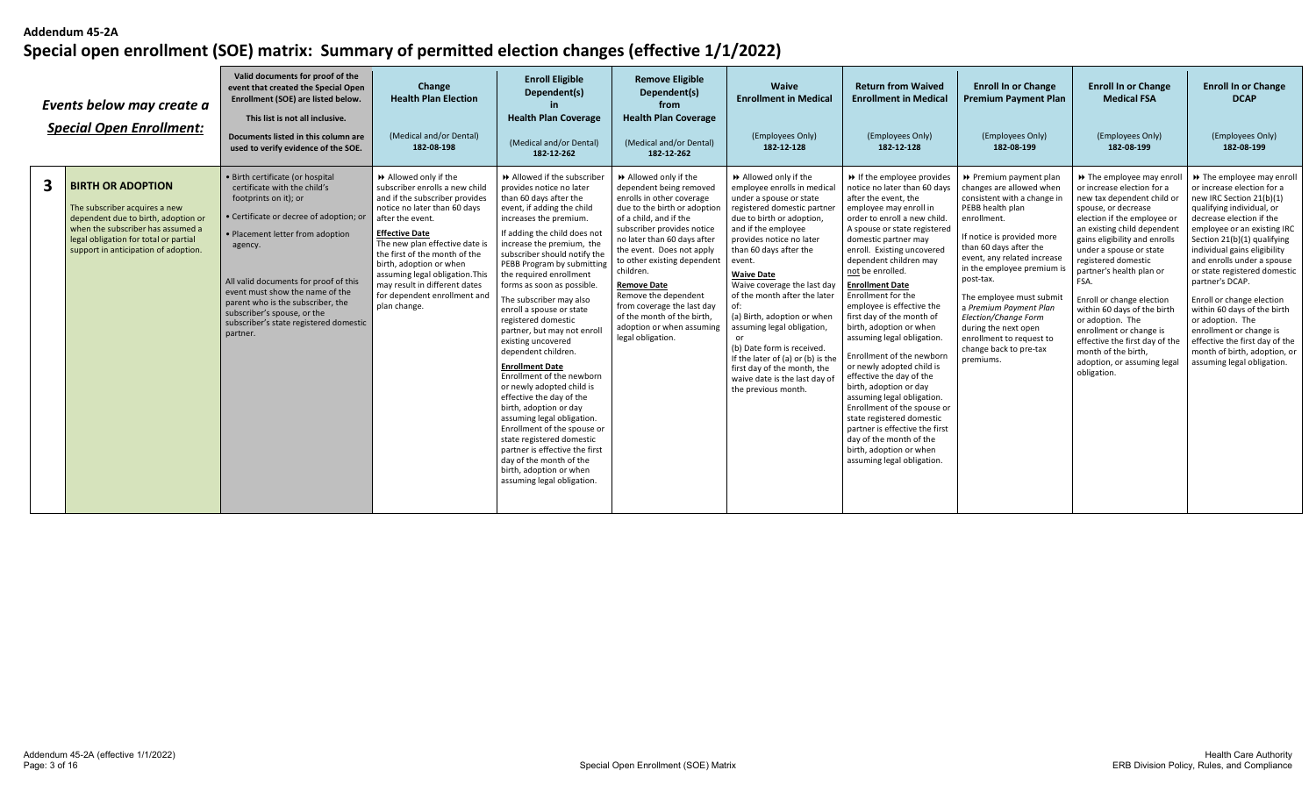|              | Events below may create a<br><b>Special Open Enrollment:</b>                                                                                                                                                           | Valid documents for proof of the<br>event that created the Special Open<br>Enrollment (SOE) are listed below.<br>This list is not all inclusive.<br>Documents listed in this column are<br>used to verify evidence of the SOE.                                                                                                                                                            | Change<br><b>Health Plan Election</b><br>(Medical and/or Dental)<br>182-08-198                                                                                                                                                                                                                                                                                                         | <b>Enroll Eligible</b><br>Dependent(s)<br><b>Health Plan Coverage</b><br>(Medical and/or Dental)<br>182-12-262                                                                                                                                                                                                                                                                                                                                                                                                                                                                                                                                                                                                                                                                                                                                 | <b>Remove Eligible</b><br>Dependent(s)<br>from<br><b>Health Plan Coverage</b><br>(Medical and/or Dental)<br>182-12-262                                                                                                                                                                                                                                                                                                                    | Waive<br><b>Enrollment in Medical</b><br>(Employees Only)<br>182-12-128                                                                                                                                                                                                                                                                                                                                                                                                                                                                     | <b>Return from Waived</b><br><b>Enrollment in Medical</b><br>(Employees Only)<br>182-12-128                                                                                                                                                                                                                                                                                                                                                                                                                                                                                                                                                                                                                                                                                         | <b>Enroll In or Change</b><br><b>Premium Payment Plan</b><br>(Employees Only)<br>182-08-199                                                                                                                                                                                                                                                                                                                                     | <b>Enroll In or Change</b><br><b>Medical FSA</b><br>(Employees Only)<br>182-08-199                                                                                                                                                                                                                                                                                                                                                                                                                                 | <b>Enroll In or Change</b><br><b>DCAP</b><br>(Employees Only)<br>182-08-199                                                                                                                                                                                                                                                                                                                                                                                                                                                            |
|--------------|------------------------------------------------------------------------------------------------------------------------------------------------------------------------------------------------------------------------|-------------------------------------------------------------------------------------------------------------------------------------------------------------------------------------------------------------------------------------------------------------------------------------------------------------------------------------------------------------------------------------------|----------------------------------------------------------------------------------------------------------------------------------------------------------------------------------------------------------------------------------------------------------------------------------------------------------------------------------------------------------------------------------------|------------------------------------------------------------------------------------------------------------------------------------------------------------------------------------------------------------------------------------------------------------------------------------------------------------------------------------------------------------------------------------------------------------------------------------------------------------------------------------------------------------------------------------------------------------------------------------------------------------------------------------------------------------------------------------------------------------------------------------------------------------------------------------------------------------------------------------------------|-------------------------------------------------------------------------------------------------------------------------------------------------------------------------------------------------------------------------------------------------------------------------------------------------------------------------------------------------------------------------------------------------------------------------------------------|---------------------------------------------------------------------------------------------------------------------------------------------------------------------------------------------------------------------------------------------------------------------------------------------------------------------------------------------------------------------------------------------------------------------------------------------------------------------------------------------------------------------------------------------|-------------------------------------------------------------------------------------------------------------------------------------------------------------------------------------------------------------------------------------------------------------------------------------------------------------------------------------------------------------------------------------------------------------------------------------------------------------------------------------------------------------------------------------------------------------------------------------------------------------------------------------------------------------------------------------------------------------------------------------------------------------------------------------|---------------------------------------------------------------------------------------------------------------------------------------------------------------------------------------------------------------------------------------------------------------------------------------------------------------------------------------------------------------------------------------------------------------------------------|--------------------------------------------------------------------------------------------------------------------------------------------------------------------------------------------------------------------------------------------------------------------------------------------------------------------------------------------------------------------------------------------------------------------------------------------------------------------------------------------------------------------|----------------------------------------------------------------------------------------------------------------------------------------------------------------------------------------------------------------------------------------------------------------------------------------------------------------------------------------------------------------------------------------------------------------------------------------------------------------------------------------------------------------------------------------|
| $\mathbf{3}$ | <b>BIRTH OR ADOPTION</b><br>The subscriber acquires a new<br>dependent due to birth, adoption or<br>when the subscriber has assumed a<br>legal obligation for total or partial<br>support in anticipation of adoption. | · Birth certificate (or hospital<br>certificate with the child's<br>footprints on it); or<br>· Certificate or decree of adoption; or<br>· Placement letter from adoption<br>agency.<br>All valid documents for proof of this<br>event must show the name of the<br>parent who is the subscriber, the<br>subscriber's spouse, or the<br>subscriber's state registered domestic<br>partner. | Allowed only if the<br>subscriber enrolls a new child<br>and if the subscriber provides<br>notice no later than 60 days<br>after the event.<br><b>Effective Date</b><br>The new plan effective date is<br>the first of the month of the<br>birth, adoption or when<br>assuming legal obligation. This<br>may result in different dates<br>for dependent enrollment and<br>plan change. | Allowed if the subscriber<br>provides notice no later<br>than 60 days after the<br>event, if adding the child<br>increases the premium.<br>If adding the child does not<br>increase the premium, the<br>subscriber should notify the<br>PEBB Program by submitting<br>the required enrollment<br>forms as soon as possible<br>The subscriber may also<br>enroll a spouse or state<br>registered domestic<br>partner, but may not enroll<br>existing uncovered<br>dependent children.<br><b>Enrollment Date</b><br>Enrollment of the newborn<br>or newly adopted child is<br>effective the day of the<br>birth, adoption or day<br>assuming legal obligation.<br>Enrollment of the spouse or<br>state registered domestic<br>partner is effective the first<br>day of the month of the<br>birth, adoption or when<br>assuming legal obligation. | ▶ Allowed only if the<br>dependent being removed<br>enrolls in other coverage<br>due to the birth or adoption<br>of a child, and if the<br>subscriber provides notice<br>no later than 60 days after<br>the event. Does not apply<br>to other existing dependent<br>children.<br><b>Remove Date</b><br>Remove the dependent<br>from coverage the last day<br>of the month of the birth.<br>adoption or when assuming<br>legal obligation. | Allowed only if the<br>employee enrolls in medical<br>under a spouse or state<br>registered domestic partner<br>due to birth or adoption,<br>and if the employee<br>provides notice no later<br>than 60 days after the<br>event.<br><b>Waive Date</b><br>Waive coverage the last day<br>of the month after the later<br>(a) Birth, adoption or when<br>assuming legal obligation,<br>(b) Date form is received.<br>If the later of (a) or (b) is the<br>first day of the month, the<br>waive date is the last day of<br>the previous month. | → If the employee provides<br>notice no later than 60 days<br>after the event, the<br>employee may enroll in<br>order to enroll a new child.<br>A spouse or state registered<br>domestic partner may<br>enroll. Existing uncovered<br>dependent children may<br>not be enrolled.<br><b>Enrollment Date</b><br>Enrollment for the<br>employee is effective the<br>first day of the month of<br>birth, adoption or when<br>assuming legal obligation.<br>Enrollment of the newborn<br>or newly adopted child is<br>effective the day of the<br>birth, adoption or day<br>assuming legal obligation.<br>Enrollment of the spouse or<br>state registered domestic<br>partner is effective the first<br>day of the month of the<br>birth, adoption or when<br>assuming legal obligation. | ▶ Premium payment plan<br>changes are allowed when<br>consistent with a change in<br>PEBB health plan<br>enrollment.<br>If notice is provided more<br>than 60 days after the<br>event, any related increase<br>in the employee premium is<br>post-tax.<br>The employee must submit<br>a Premium Payment Plan<br>Election/Change Form<br>during the next open<br>enrollment to request to<br>change back to pre-tax<br>premiums. | >> The employee may enro<br>or increase election for a<br>new tax dependent child or<br>spouse, or decrease<br>election if the employee or<br>an existing child dependent<br>gains eligibility and enrolls<br>under a spouse or state<br>registered domestic<br>partner's health plan or<br>FSA.<br>Enroll or change election<br>within 60 days of the birth<br>or adoption. The<br>enrollment or change is<br>effective the first day of the<br>month of the birth.<br>adoption, or assuming legal<br>obligation. | → The employee may enroll<br>or increase election for a<br>new IRC Section 21(b)(1)<br>qualifying individual, or<br>decrease election if the<br>employee or an existing IRC<br>Section 21(b)(1) qualifying<br>individual gains eligibility<br>and enrolls under a spouse<br>or state registered domestic<br>partner's DCAP.<br>Enroll or change election<br>within 60 days of the birth<br>or adoption. The<br>enrollment or change is<br>effective the first day of the<br>month of birth, adoption, or<br>assuming legal obligation. |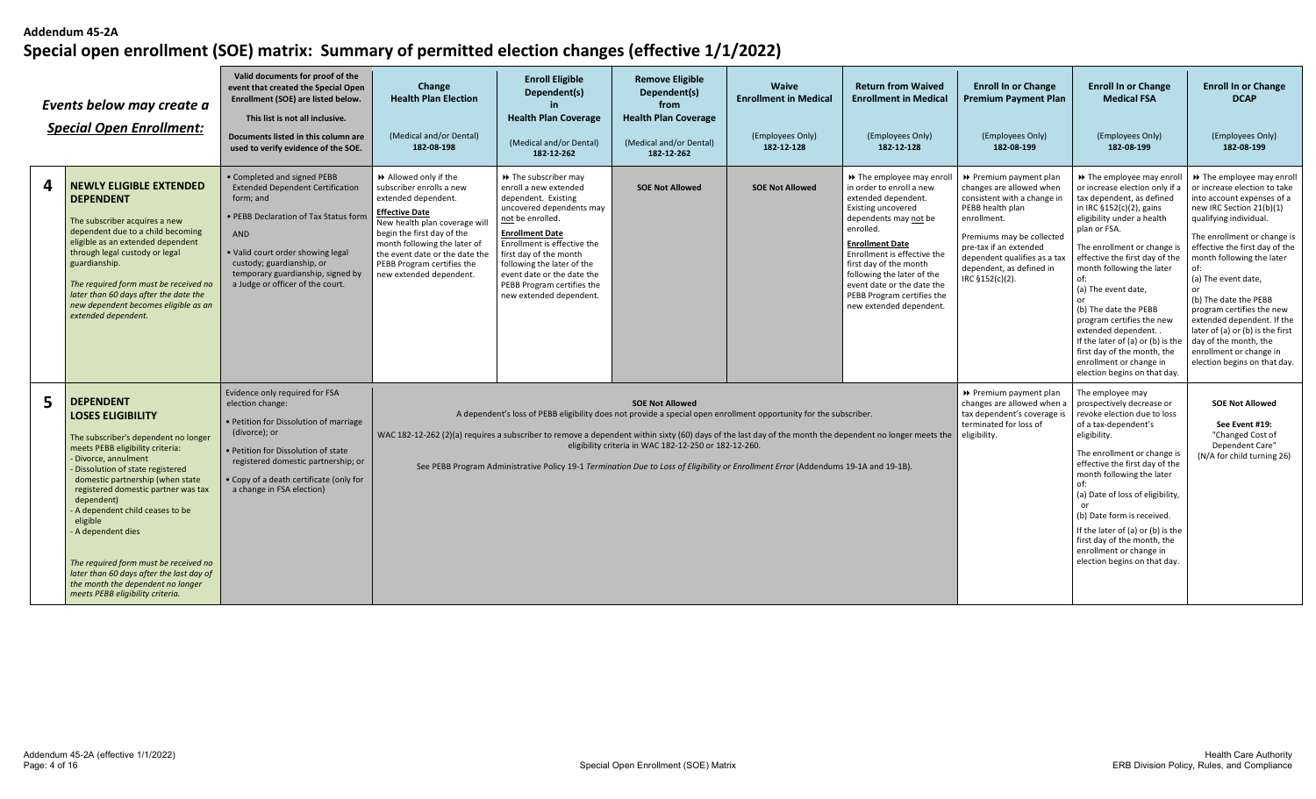|   | Events below may create a<br><b>Special Open Enrollment:</b>                                                                                                                                                                                                                                                                                                                                                                                                                                                       | Valid documents for proof of the<br>event that created the Special Open<br>Enrollment (SOE) are listed below.<br>This list is not all inclusive.<br>Documents listed in this column are<br>used to verify evidence of the SOE.                                                    | Change<br><b>Health Plan Election</b><br>(Medical and/or Dental)<br>182-08-198                                                                                                                                                                                                               | <b>Enroll Eligible</b><br>Dependent(s)<br><b>Health Plan Coverage</b><br>(Medical and/or Dental)<br>182-12-262                                                                                                                                                                                                                | <b>Remove Eligible</b><br>Dependent(s)<br>from<br><b>Health Plan Coverage</b><br>(Medical and/or Dental)<br>182-12-262 | Waive<br><b>Enrollment in Medical</b><br>(Employees Only)<br>182-12-128 | <b>Return from Waived</b><br><b>Enrollment in Medical</b><br>(Employees Only)<br>182-12-128                                                                                                                                                                                                                                                              | <b>Enroll In or Change</b><br><b>Premium Payment Plan</b><br>(Employees Only)<br>182-08-199                                                                                                                                                                | <b>Enroll In or Change</b><br><b>Medical FSA</b><br>(Employees Only)<br>182-08-199                                                                                                                                                                                                                                                                                                                                                                                                                    | <b>Enroll In or Change</b><br><b>DCAP</b><br>(Employees Only)<br>182-08-199                                                                                                                                                                                                                                                                                                                                                                                                            |
|---|--------------------------------------------------------------------------------------------------------------------------------------------------------------------------------------------------------------------------------------------------------------------------------------------------------------------------------------------------------------------------------------------------------------------------------------------------------------------------------------------------------------------|-----------------------------------------------------------------------------------------------------------------------------------------------------------------------------------------------------------------------------------------------------------------------------------|----------------------------------------------------------------------------------------------------------------------------------------------------------------------------------------------------------------------------------------------------------------------------------------------|-------------------------------------------------------------------------------------------------------------------------------------------------------------------------------------------------------------------------------------------------------------------------------------------------------------------------------|------------------------------------------------------------------------------------------------------------------------|-------------------------------------------------------------------------|----------------------------------------------------------------------------------------------------------------------------------------------------------------------------------------------------------------------------------------------------------------------------------------------------------------------------------------------------------|------------------------------------------------------------------------------------------------------------------------------------------------------------------------------------------------------------------------------------------------------------|-------------------------------------------------------------------------------------------------------------------------------------------------------------------------------------------------------------------------------------------------------------------------------------------------------------------------------------------------------------------------------------------------------------------------------------------------------------------------------------------------------|----------------------------------------------------------------------------------------------------------------------------------------------------------------------------------------------------------------------------------------------------------------------------------------------------------------------------------------------------------------------------------------------------------------------------------------------------------------------------------------|
| 4 | <b>NEWLY ELIGIBLE EXTENDED</b><br><b>DEPENDENT</b><br>The subscriber acquires a new<br>dependent due to a child becoming<br>eligible as an extended dependent<br>through legal custody or legal<br>guardianship.<br>The required form must be received no<br>later than 60 days after the date the<br>new dependent becomes eligible as an<br>extended dependent.                                                                                                                                                  | Completed and signed PEBB<br><b>Extended Dependent Certification</b><br>form; and<br>PEBB Declaration of Tax Status form<br><b>AND</b><br>• Valid court order showing legal<br>custody; guardianship, or<br>temporary guardianship, signed by<br>a Judge or officer of the court. | >> Allowed only if the<br>subscriber enrolls a new<br>extended dependent.<br><b>Effective Date</b><br>New health plan coverage will<br>begin the first day of the<br>month following the later of<br>the event date or the date the<br>PEBB Program certifies the<br>new extended dependent. | >> The subscriber may<br>enroll a new extended<br>dependent. Existing<br>uncovered dependents may<br>not be enrolled.<br><b>Enrollment Date</b><br>Enrollment is effective the<br>first day of the month<br>following the later of the<br>event date or the date the<br>PEBB Program certifies the<br>new extended dependent. | <b>SOE Not Allowed</b>                                                                                                 | <b>SOE Not Allowed</b>                                                  | >> The employee may enroll<br>in order to enroll a new<br>extended dependent.<br><b>Existing uncovered</b><br>dependents may not be<br>enrolled.<br><b>Enrollment Date</b><br>Enrollment is effective the<br>first day of the month<br>following the later of the<br>event date or the date the<br>PEBB Program certifies the<br>new extended dependent. | ▶ Premium payment plan<br>changes are allowed when<br>consistent with a change in<br>PEBB health plan<br>enrollment.<br>Premiums may be collected<br>pre-tax if an extended<br>dependent qualifies as a tax<br>dependent, as defined in<br>IRC §152(c)(2). | → The employee may enro<br>or increase election only if<br>tax dependent, as defined<br>in IRC §152(c)(2), gains<br>eligibility under a health<br>plan or FSA<br>The enrollment or change is<br>effective the first day of the<br>month following the later<br>of:<br>(a) The event date,<br>(b) The date the PEBB<br>program certifies the new<br>extended dependent.<br>If the later of (a) or (b) is the<br>first day of the month, the<br>enrollment or change in<br>election begins on that day. | >> The employee may enroll<br>or increase election to take<br>into account expenses of a<br>new IRC Section 21(b)(1)<br>qualifying individual.<br>The enrollment or change is<br>effective the first day of the<br>month following the later<br>of:<br>(a) The event date,<br>(b) The date the PEBB<br>program certifies the new<br>extended dependent. If the<br>later of (a) or (b) is the first<br>day of the month, the<br>enrollment or change in<br>election begins on that day. |
| 5 | <b>DEPENDENT</b><br><b>LOSES ELIGIBILITY</b><br>The subscriber's dependent no longer<br>meets PEBB eligibility criteria:<br>- Divorce, annulment<br>- Dissolution of state registered<br>domestic partnership (when state<br>registered domestic partner was tax<br>dependent)<br>- A dependent child ceases to be<br>eligible<br>- A dependent dies<br>The required form must be received no<br>later than 60 days after the last day of<br>the month the dependent no longer<br>meets PEBB eligibility criteria. | Evidence only required for FSA<br>election change:<br>• Petition for Dissolution of marriage<br>(divorce); or<br>• Petition for Dissolution of state<br>registered domestic partnership; or<br>Copy of a death certificate (only for<br>a change in FSA election)                 | WAC 182-12-262 (2)(a) requires a subscriber to remove a dependent within sixty (60) days of the last day of the month the dependent no longer meets the                                                                                                                                      | A dependent's loss of PEBB eligibility does not provide a special open enrollment opportunity for the subscriber.<br>See PEBB Program Administrative Policy 19-1 Termination Due to Loss of Eligibility or Enrollment Error (Addendums 19-1A and 19-1B).                                                                      | <b>SOE Not Allowed</b><br>eligibility criteria in WAC 182-12-250 or 182-12-260.                                        |                                                                         |                                                                                                                                                                                                                                                                                                                                                          | ▶ Premium payment plan<br>changes are allowed when a<br>tax dependent's coverage is<br>terminated for loss of<br>eligibility.                                                                                                                              | The employee may<br>prospectively decrease or<br>revoke election due to loss<br>of a tax-dependent's<br>eligibility.<br>The enrollment or change is<br>effective the first day of the<br>month following the later<br>(a) Date of loss of eligibility,<br>(b) Date form is received.<br>If the later of (a) or (b) is the<br>first day of the month, the<br>enrollment or change in<br>election begins on that day.                                                                                   | <b>SOE Not Allowed</b><br>See Event #19:<br>"Changed Cost of<br>Dependent Care"<br>(N/A for child turning 26)                                                                                                                                                                                                                                                                                                                                                                          |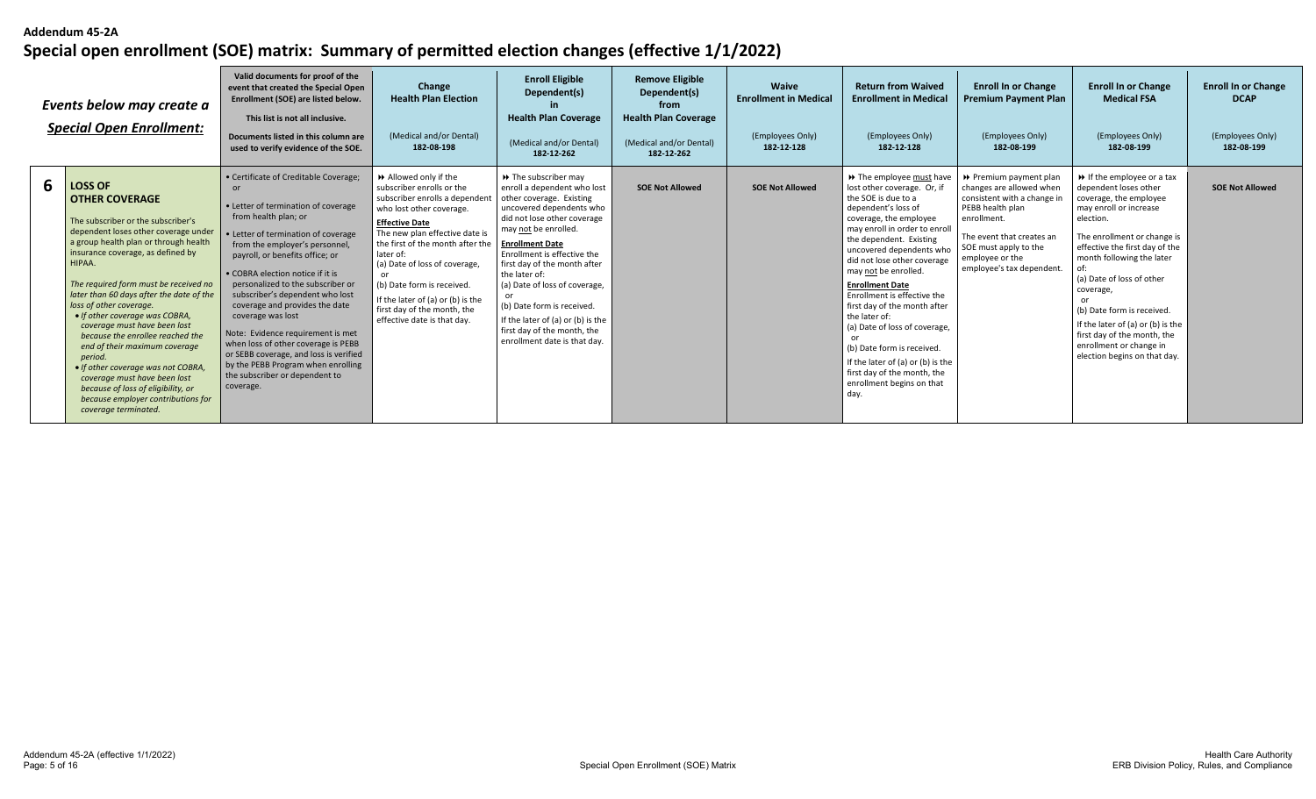|   | Events below may create a<br><b>Special Open Enrollment:</b>                                                                                                                                                                                                                                                                                                                                                                                                                                                                                                                                                                                              | Valid documents for proof of the<br>event that created the Special Open<br>Enrollment (SOE) are listed below.<br>This list is not all inclusive.<br>Documents listed in this column are<br>used to verify evidence of the SOE.                                                                                                                                                                                                                                                                                                                                                                       | Change<br><b>Health Plan Election</b><br>(Medical and/or Dental)<br>182-08-198                                                                                                                                                                                                                                                                                                                   | <b>Enroll Eligible</b><br>Dependent(s)<br><b>Health Plan Coverage</b><br>(Medical and/or Dental)<br>182-12-262                                                                                                                                                                                                                                                                                                                                                    | <b>Remove Eligible</b><br>Dependent(s)<br>from<br><b>Health Plan Coverage</b><br>(Medical and/or Dental)<br>182-12-262 | <b>Waive</b><br><b>Enrollment in Medical</b><br>(Employees Only)<br>182-12-128 | <b>Return from Waived</b><br><b>Enrollment in Medical</b><br>(Employees Only)<br>182-12-128                                                                                                                                                                                                                                                                                                                                                                                                                                                                       | <b>Enroll In or Change</b><br><b>Premium Payment Plan</b><br>(Employees Only)<br>182-08-199                                                                                                                                | <b>Enroll In or Change</b><br><b>Medical FSA</b><br>(Employees Only)<br>182-08-199                                                                                                                                                                                                                                                                                                                                                          | <b>Enroll In or Change</b><br><b>DCAP</b><br>(Employees Only)<br>182-08-199 |
|---|-----------------------------------------------------------------------------------------------------------------------------------------------------------------------------------------------------------------------------------------------------------------------------------------------------------------------------------------------------------------------------------------------------------------------------------------------------------------------------------------------------------------------------------------------------------------------------------------------------------------------------------------------------------|------------------------------------------------------------------------------------------------------------------------------------------------------------------------------------------------------------------------------------------------------------------------------------------------------------------------------------------------------------------------------------------------------------------------------------------------------------------------------------------------------------------------------------------------------------------------------------------------------|--------------------------------------------------------------------------------------------------------------------------------------------------------------------------------------------------------------------------------------------------------------------------------------------------------------------------------------------------------------------------------------------------|-------------------------------------------------------------------------------------------------------------------------------------------------------------------------------------------------------------------------------------------------------------------------------------------------------------------------------------------------------------------------------------------------------------------------------------------------------------------|------------------------------------------------------------------------------------------------------------------------|--------------------------------------------------------------------------------|-------------------------------------------------------------------------------------------------------------------------------------------------------------------------------------------------------------------------------------------------------------------------------------------------------------------------------------------------------------------------------------------------------------------------------------------------------------------------------------------------------------------------------------------------------------------|----------------------------------------------------------------------------------------------------------------------------------------------------------------------------------------------------------------------------|---------------------------------------------------------------------------------------------------------------------------------------------------------------------------------------------------------------------------------------------------------------------------------------------------------------------------------------------------------------------------------------------------------------------------------------------|-----------------------------------------------------------------------------|
| 6 | <b>LOSS OF</b><br><b>OTHER COVERAGE</b><br>The subscriber or the subscriber's<br>dependent loses other coverage under<br>a group health plan or through health<br>insurance coverage, as defined by<br>HIPAA.<br>The required form must be received no<br>later than 60 days after the date of the<br>loss of other coverage.<br>• If other coverage was COBRA,<br>coverage must have been lost<br>because the enrollee reached the<br>end of their maximum coverage<br>period.<br>• If other coverage was not COBRA,<br>coverage must have been lost<br>because of loss of eligibility, or<br>because employer contributions for<br>coverage terminated. | • Certificate of Creditable Coverage;<br>or<br>• Letter of termination of coverage<br>from health plan; or<br>• Letter of termination of coverage<br>from the employer's personnel,<br>payroll, or benefits office; or<br>• COBRA election notice if it is<br>personalized to the subscriber or<br>subscriber's dependent who lost<br>coverage and provides the date<br>coverage was lost<br>Note: Evidence requirement is met<br>when loss of other coverage is PEBB<br>or SEBB coverage, and loss is verified<br>by the PEBB Program when enrolling<br>the subscriber or dependent to<br>coverage. | Allowed only if the<br>subscriber enrolls or the<br>subscriber enrolls a dependent<br>who lost other coverage.<br><b>Effective Date</b><br>The new plan effective date is<br>the first of the month after the<br>later of:<br>(a) Date of loss of coverage,<br>(b) Date form is received.<br>If the later of $(a)$ or $(b)$ is the<br>first day of the month, the<br>effective date is that day. | $\rightarrow$ The subscriber may<br>enroll a dependent who lost<br>other coverage. Existing<br>uncovered dependents who<br>did not lose other coverage<br>may not be enrolled.<br><b>Enrollment Date</b><br>Enrollment is effective the<br>first day of the month after<br>the later of:<br>(a) Date of loss of coverage,<br>or<br>(b) Date form is received.<br>If the later of (a) or (b) is the<br>first day of the month, the<br>enrollment date is that day. | <b>SOE Not Allowed</b>                                                                                                 | <b>SOE Not Allowed</b>                                                         | >> The employee must have<br>lost other coverage. Or, if<br>the SOE is due to a<br>dependent's loss of<br>coverage, the employee<br>may enroll in order to enroll<br>the dependent. Existing<br>uncovered dependents who<br>did not lose other coverage<br>may not be enrolled.<br><b>Enrollment Date</b><br>Enrollment is effective the<br>first day of the month after<br>the later of:<br>(a) Date of loss of coverage,<br>(b) Date form is received.<br>If the later of (a) or (b) is the<br>first day of the month, the<br>enrollment begins on that<br>day. | ▶ Premium payment plan<br>changes are allowed when<br>consistent with a change in<br>PEBB health plan<br>enrollment.<br>The event that creates an<br>SOE must apply to the<br>employee or the<br>employee's tax dependent. | $\rightarrow$ If the employee or a tax<br>dependent loses other<br>coverage, the employee<br>may enroll or increase<br>election.<br>The enrollment or change is<br>effective the first day of the<br>month following the later<br>(a) Date of loss of other<br>coverage,<br>or<br>(b) Date form is received.<br>If the later of (a) or (b) is the<br>first day of the month, the<br>enrollment or change in<br>election begins on that day. | <b>SOE Not Allowed</b>                                                      |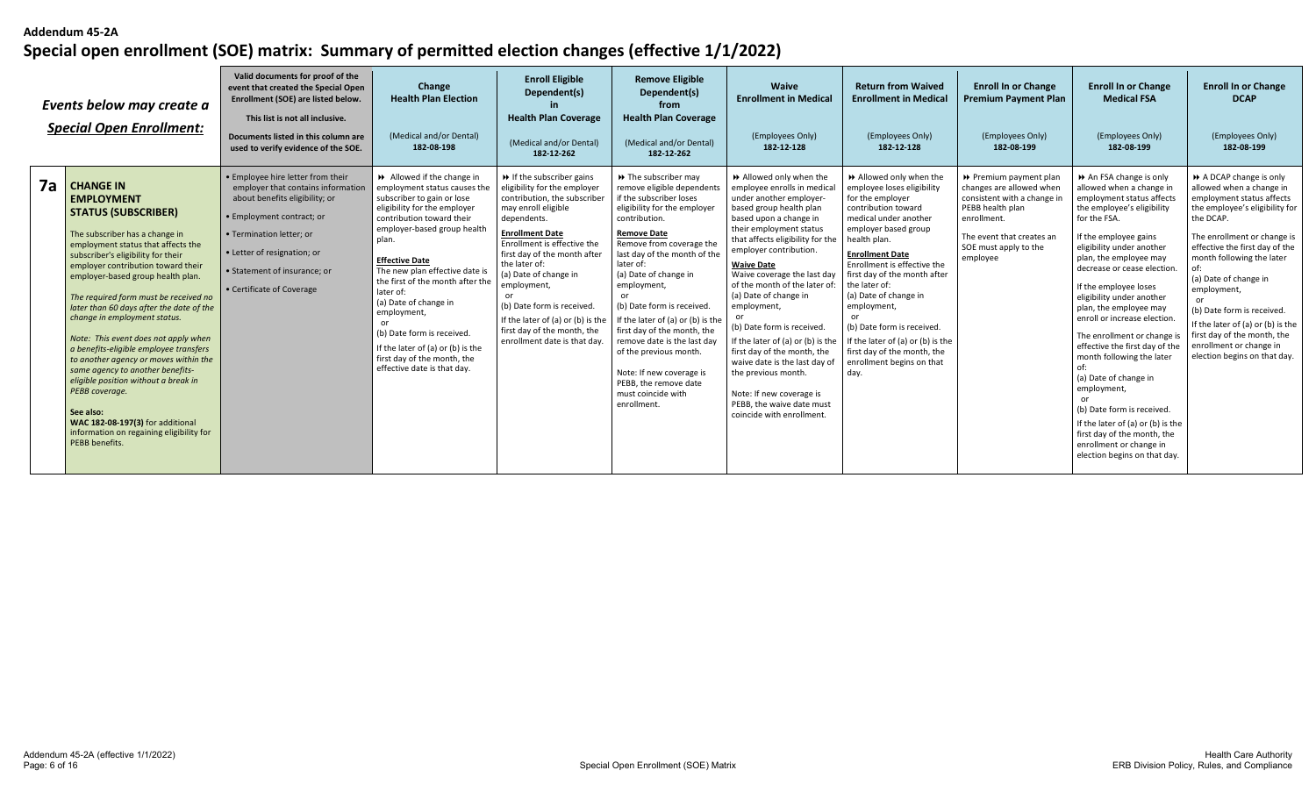|    | Events below may create a<br><b>Special Open Enrollment:</b>                                                                                                                                                                                                                                                                                                                                                                                                                                                                                                                                                                                                                                                              | Valid documents for proof of the<br>event that created the Special Open<br>Enrollment (SOE) are listed below.<br>This list is not all inclusive.<br>Documents listed in this column are<br>used to verify evidence of the SOE.                                 | Change<br><b>Health Plan Election</b><br>(Medical and/or Dental)<br>182-08-198                                                                                                                                                                                                                                                                                                                                                                                                         | <b>Enroll Eligible</b><br>Dependent(s)<br><b>Health Plan Coverage</b><br>(Medical and/or Dental)<br>182-12-262                                                                                                                                                                                                                                                                                                                           | <b>Remove Eligible</b><br>Dependent(s)<br>from<br><b>Health Plan Coverage</b><br>(Medical and/or Dental)<br>182-12-262                                                                                                                                                                                                                                                                                                                                                                                                               | Waive<br><b>Enrollment in Medical</b><br>(Employees Only)<br>182-12-128                                                                                                                                                                                                                                                                                                                                                                                                                                                                                                                                       | <b>Return from Waived</b><br><b>Enrollment in Medical</b><br>(Employees Only)<br>182-12-128                                                                                                                                                                                                                                                                                                                                                                 | <b>Enroll In or Change</b><br><b>Premium Payment Plan</b><br>(Employees Only)<br>182-08-199                                                                                            | <b>Enroll In or Change</b><br><b>Medical FSA</b><br>(Employees Only)<br>182-08-199                                                                                                                                                                                                                                                                                                                                                                                                                                                                                                                                                                                 | <b>Enroll In or Change</b><br><b>DCAP</b><br>(Employees Only)<br>182-08-199                                                                                                                                                                                                                                                                                                                                                      |
|----|---------------------------------------------------------------------------------------------------------------------------------------------------------------------------------------------------------------------------------------------------------------------------------------------------------------------------------------------------------------------------------------------------------------------------------------------------------------------------------------------------------------------------------------------------------------------------------------------------------------------------------------------------------------------------------------------------------------------------|----------------------------------------------------------------------------------------------------------------------------------------------------------------------------------------------------------------------------------------------------------------|----------------------------------------------------------------------------------------------------------------------------------------------------------------------------------------------------------------------------------------------------------------------------------------------------------------------------------------------------------------------------------------------------------------------------------------------------------------------------------------|------------------------------------------------------------------------------------------------------------------------------------------------------------------------------------------------------------------------------------------------------------------------------------------------------------------------------------------------------------------------------------------------------------------------------------------|--------------------------------------------------------------------------------------------------------------------------------------------------------------------------------------------------------------------------------------------------------------------------------------------------------------------------------------------------------------------------------------------------------------------------------------------------------------------------------------------------------------------------------------|---------------------------------------------------------------------------------------------------------------------------------------------------------------------------------------------------------------------------------------------------------------------------------------------------------------------------------------------------------------------------------------------------------------------------------------------------------------------------------------------------------------------------------------------------------------------------------------------------------------|-------------------------------------------------------------------------------------------------------------------------------------------------------------------------------------------------------------------------------------------------------------------------------------------------------------------------------------------------------------------------------------------------------------------------------------------------------------|----------------------------------------------------------------------------------------------------------------------------------------------------------------------------------------|--------------------------------------------------------------------------------------------------------------------------------------------------------------------------------------------------------------------------------------------------------------------------------------------------------------------------------------------------------------------------------------------------------------------------------------------------------------------------------------------------------------------------------------------------------------------------------------------------------------------------------------------------------------------|----------------------------------------------------------------------------------------------------------------------------------------------------------------------------------------------------------------------------------------------------------------------------------------------------------------------------------------------------------------------------------------------------------------------------------|
| 7a | <b>CHANGE IN</b><br><b>EMPLOYMENT</b><br><b>STATUS (SUBSCRIBER)</b><br>The subscriber has a change in<br>employment status that affects the<br>subscriber's eligibility for their<br>employer contribution toward their<br>employer-based group health plan.<br>The required form must be received no<br>later than 60 days after the date of the<br>change in employment status.<br>Note: This event does not apply when<br>a benefits-eligible employee transfers<br>to another agency or moves within the<br>same agency to another benefits-<br>eligible position without a break in<br>PEBB coverage.<br>See also:<br>WAC 182-08-197(3) for additional<br>information on regaining eligibility for<br>PEBB benefits. | • Employee hire letter from their<br>employer that contains information<br>about benefits eligibility; or<br>• Employment contract; or<br>. Termination letter: or<br>• Letter of resignation; or<br>· Statement of insurance; or<br>• Certificate of Coverage | Allowed if the change in<br>employment status causes the<br>subscriber to gain or lose<br>eligibility for the employer<br>contribution toward their<br>employer-based group health<br>plan.<br><b>Effective Date</b><br>The new plan effective date is<br>the first of the month after the<br>later of:<br>(a) Date of change in<br>employment,<br>or<br>(b) Date form is received.<br>If the later of (a) or (b) is the<br>first day of the month, the<br>effective date is that day. | $\triangleright$ If the subscriber gains<br>eligibility for the employer<br>contribution, the subscriber<br>may enroll eligible<br>dependents.<br><b>Enrollment Date</b><br>Enrollment is effective the<br>first day of the month after<br>the later of:<br>(a) Date of change in<br>employment,<br>or<br>(b) Date form is received.<br>If the later of (a) or (b) is the<br>first day of the month, the<br>enrollment date is that day. | >> The subscriber may<br>remove eligible dependents<br>if the subscriber loses<br>eligibility for the employer<br>contribution.<br><b>Remove Date</b><br>Remove from coverage the<br>last day of the month of the<br>later of:<br>(a) Date of change in<br>employment,<br>or<br>(b) Date form is received<br>If the later of $(a)$ or $(b)$ is the<br>first day of the month, the<br>remove date is the last day<br>of the previous month.<br>Note: If new coverage is<br>PEBB, the remove date<br>must coincide with<br>enrollment. | >> Allowed only when the<br>employee enrolls in medical<br>under another employer-<br>based group health plan<br>based upon a change in<br>their employment status<br>that affects eligibility for the<br>employer contribution.<br><b>Waive Date</b><br>Waive coverage the last day<br>of the month of the later of:<br>(a) Date of change in<br>employment,<br>(b) Date form is received.<br>If the later of (a) or (b) is the<br>first day of the month, the<br>waive date is the last day of<br>the previous month.<br>Note: If new coverage is<br>PEBB, the waive date must<br>coincide with enrollment. | >> Allowed only when the<br>employee loses eligibility<br>for the employer<br>contribution toward<br>medical under another<br>employer based group<br>health plan.<br><b>Enrollment Date</b><br>Enrollment is effective the<br>first day of the month after<br>the later of:<br>(a) Date of change in<br>employment,<br>(b) Date form is received.<br>If the later of (a) or (b) is the<br>first day of the month, the<br>enrollment begins on that<br>day. | ▶ Premium payment plan<br>changes are allowed when<br>consistent with a change in<br>PEBB health plan<br>enrollment.<br>The event that creates an<br>SOE must apply to the<br>employee | An FSA change is only<br>allowed when a change in<br>employment status affects<br>the employee's eligibility<br>for the FSA.<br>If the employee gains<br>eligibility under another<br>plan, the employee may<br>decrease or cease election.<br>If the employee loses<br>eligibility under another<br>plan, the employee may<br>enroll or increase election.<br>The enrollment or change<br>effective the first day of the<br>month following the later<br>of:<br>(a) Date of change in<br>employment,<br>(b) Date form is received.<br>If the later of (a) or (b) is the<br>first day of the month, the<br>enrollment or change in<br>election begins on that day. | A DCAP change is only<br>allowed when a change in<br>employment status affects<br>the employee's eligibility for<br>the DCAP.<br>The enrollment or change is<br>effective the first day of the<br>month following the later<br>(a) Date of change in<br>employment,<br>(b) Date form is received.<br>If the later of (a) or (b) is the<br>first day of the month, the<br>enrollment or change in<br>election begins on that day. |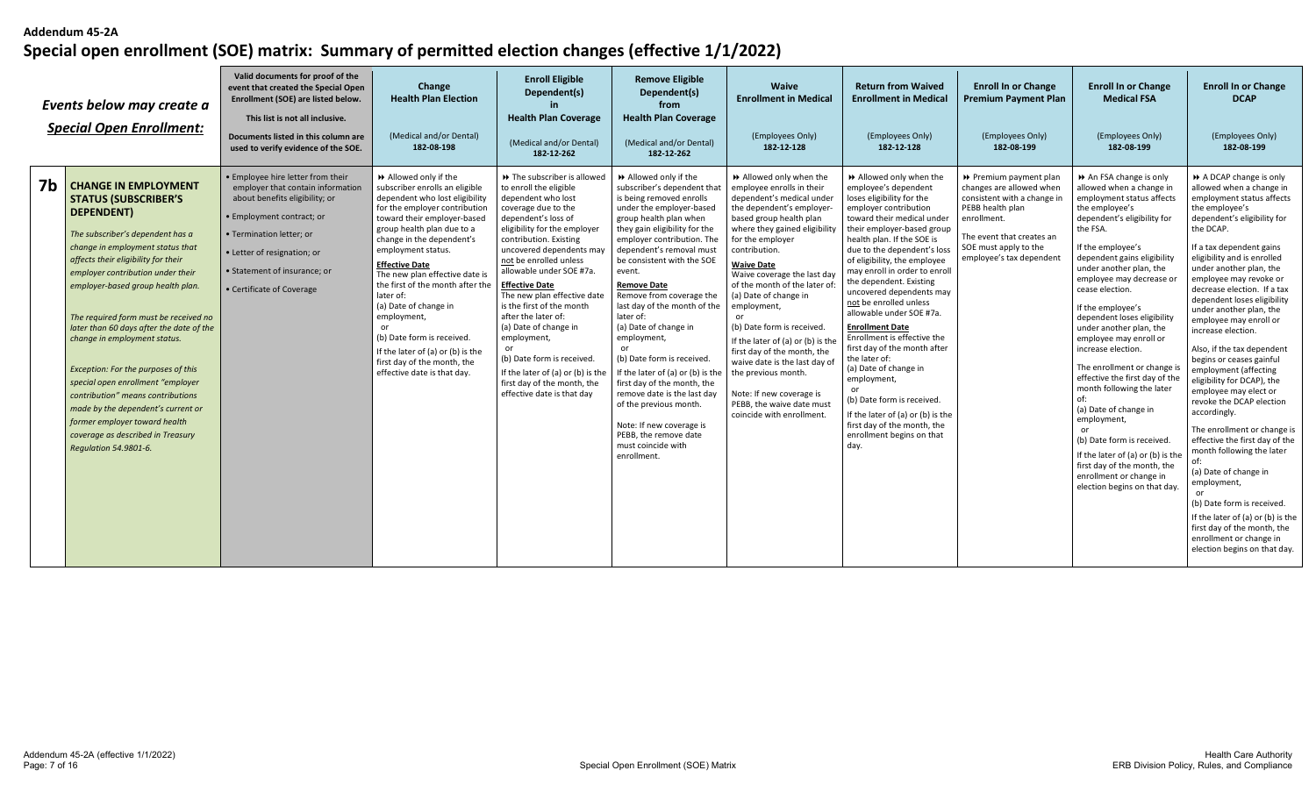|    | Events below may create a<br><b>Special Open Enrollment:</b>                                                                                                                                                                                                                                                                                                                                                                                                                                                                                                                                                                                 | Valid documents for proof of the<br>event that created the Special Open<br>Enrollment (SOE) are listed below.<br>This list is not all inclusive.<br>Documents listed in this column are<br>used to verify evidence of the SOE.                                | Change<br><b>Health Plan Election</b><br>(Medical and/or Dental)<br>182-08-198                                                                                                                                                                                                                                                                                                                                                                                                                                                     | <b>Enroll Eligible</b><br>Dependent(s)<br>in.<br><b>Health Plan Coverage</b><br>(Medical and/or Dental)<br>182-12-262                                                                                                                                                                                                                                                                                                                                                                                                                                      | <b>Remove Eligible</b><br>Dependent(s)<br>from<br><b>Health Plan Coverage</b><br>(Medical and/or Dental)<br>182-12-262                                                                                                                                                                                                                                                                                                                                                                                                                                                                                                                                              | Waive<br><b>Enrollment in Medical</b><br>(Employees Only)<br>182-12-128                                                                                                                                                                                                                                                                                                                                                                                                                                                                                                                | <b>Return from Waived</b><br><b>Enrollment in Medical</b><br>(Employees Only)<br>182-12-128                                                                                                                                                                                                                                                                                                                                                                                                                                                                                                                                                                                                            | <b>Enroll In or Change</b><br><b>Premium Payment Plan</b><br>(Employees Only)<br>182-08-199                                                                                                            | <b>Enroll In or Change</b><br><b>Medical FSA</b><br>(Employees Only)<br>182-08-199                                                                                                                                                                                                                                                                                                                                                                                                                                                                                                                                                                                                                                | <b>Enroll In or Change</b><br><b>DCAP</b><br>(Employees Only)<br>182-08-199                                                                                                                                                                                                                                                                                                                                                                                                                                                                                                                                                                                                                                                                                                                                                                                                                                  |
|----|----------------------------------------------------------------------------------------------------------------------------------------------------------------------------------------------------------------------------------------------------------------------------------------------------------------------------------------------------------------------------------------------------------------------------------------------------------------------------------------------------------------------------------------------------------------------------------------------------------------------------------------------|---------------------------------------------------------------------------------------------------------------------------------------------------------------------------------------------------------------------------------------------------------------|------------------------------------------------------------------------------------------------------------------------------------------------------------------------------------------------------------------------------------------------------------------------------------------------------------------------------------------------------------------------------------------------------------------------------------------------------------------------------------------------------------------------------------|------------------------------------------------------------------------------------------------------------------------------------------------------------------------------------------------------------------------------------------------------------------------------------------------------------------------------------------------------------------------------------------------------------------------------------------------------------------------------------------------------------------------------------------------------------|---------------------------------------------------------------------------------------------------------------------------------------------------------------------------------------------------------------------------------------------------------------------------------------------------------------------------------------------------------------------------------------------------------------------------------------------------------------------------------------------------------------------------------------------------------------------------------------------------------------------------------------------------------------------|----------------------------------------------------------------------------------------------------------------------------------------------------------------------------------------------------------------------------------------------------------------------------------------------------------------------------------------------------------------------------------------------------------------------------------------------------------------------------------------------------------------------------------------------------------------------------------------|--------------------------------------------------------------------------------------------------------------------------------------------------------------------------------------------------------------------------------------------------------------------------------------------------------------------------------------------------------------------------------------------------------------------------------------------------------------------------------------------------------------------------------------------------------------------------------------------------------------------------------------------------------------------------------------------------------|--------------------------------------------------------------------------------------------------------------------------------------------------------------------------------------------------------|-------------------------------------------------------------------------------------------------------------------------------------------------------------------------------------------------------------------------------------------------------------------------------------------------------------------------------------------------------------------------------------------------------------------------------------------------------------------------------------------------------------------------------------------------------------------------------------------------------------------------------------------------------------------------------------------------------------------|--------------------------------------------------------------------------------------------------------------------------------------------------------------------------------------------------------------------------------------------------------------------------------------------------------------------------------------------------------------------------------------------------------------------------------------------------------------------------------------------------------------------------------------------------------------------------------------------------------------------------------------------------------------------------------------------------------------------------------------------------------------------------------------------------------------------------------------------------------------------------------------------------------------|
| 7b | <b>CHANGE IN EMPLOYMENT</b><br><b>STATUS (SUBSCRIBER'S</b><br>DEPENDENT)<br>The subscriber's dependent has a<br>change in employment status that<br>affects their eligibility for their<br>employer contribution under their<br>employer-based group health plan.<br>The required form must be received no<br>later than 60 days after the date of the<br>change in employment status.<br>Exception: For the purposes of this<br>special open enrollment "employer<br>contribution" means contributions<br>made by the dependent's current or<br>former employer toward health<br>coverage as described in Treasury<br>Regulation 54.9801-6. | • Employee hire letter from their<br>employer that contain information<br>about benefits eligibility; or<br>• Employment contract; or<br>• Termination letter; or<br>• Letter of resignation; or<br>• Statement of insurance; or<br>• Certificate of Coverage | Allowed only if the<br>subscriber enrolls an eligible<br>dependent who lost eligibility<br>for the employer contribution<br>toward their employer-based<br>group health plan due to a<br>change in the dependent's<br>employment status.<br><b>Effective Date</b><br>The new plan effective date is<br>the first of the month after the<br>later of:<br>(a) Date of change in<br>employment,<br>or<br>(b) Date form is received<br>If the later of (a) or (b) is the<br>first day of the month, the<br>effective date is that day. | >> The subscriber is allowed<br>to enroll the eligible<br>dependent who lost<br>coverage due to the<br>dependent's loss of<br>eligibility for the employer<br>contribution. Existing<br>uncovered dependents may<br>not be enrolled unless<br>allowable under SOE #7a.<br><b>Effective Date</b><br>The new plan effective date<br>is the first of the month<br>after the later of:<br>(a) Date of change in<br>employment,<br>(b) Date form is received.<br>If the later of (a) or (b) is the<br>first day of the month, the<br>effective date is that day | Allowed only if the<br>subscriber's dependent that<br>is being removed enrolls<br>under the employer-based<br>group health plan when<br>they gain eligibility for the<br>employer contribution. The<br>dependent's removal must<br>be consistent with the SOE<br>event.<br><b>Remove Date</b><br>Remove from coverage the<br>last day of the month of the<br>later of:<br>(a) Date of change in<br>employment,<br>(b) Date form is received.<br>If the later of (a) or (b) is the<br>first day of the month, the<br>remove date is the last day<br>of the previous month.<br>Note: If new coverage is<br>PEBB, the remove date<br>must coincide with<br>enrollment. | Allowed only when the<br>employee enrolls in their<br>dependent's medical under<br>the dependent's employer<br>based group health plan<br>where they gained eligibilit<br>for the employer<br>contribution.<br><b>Waive Date</b><br>Waive coverage the last day<br>of the month of the later of<br>(a) Date of change in<br>employment,<br>(b) Date form is received.<br>If the later of (a) or (b) is th<br>first day of the month, the<br>waive date is the last day of<br>the previous month.<br>Note: If new coverage is<br>PEBB, the waive date must<br>coincide with enrollment. | >> Allowed only when the<br>employee's dependent<br>loses eligibility for the<br>employer contribution<br>toward their medical under<br>their employer-based group<br>health plan. If the SOE is<br>due to the dependent's loss<br>of eligibility, the employee<br>may enroll in order to enroll<br>the dependent. Existing<br>uncovered dependents may<br>not be enrolled unless<br>allowable under SOE #7a.<br><b>Enrollment Date</b><br>Enrollment is effective the<br>first day of the month after<br>the later of:<br>(a) Date of change in<br>employment,<br>(b) Date form is received.<br>If the later of (a) or (b) is the<br>first day of the month, the<br>enrollment begins on that<br>day. | ▶ Premium payment plan<br>changes are allowed when<br>consistent with a change in<br>PEBB health plan<br>enrollment.<br>The event that creates an<br>SOE must apply to the<br>employee's tax dependent | An FSA change is only<br>allowed when a change in<br>employment status affects<br>the employee's<br>dependent's eligibility for<br>the FSA.<br>If the employee's<br>dependent gains eligibility<br>under another plan, the<br>employee may decrease or<br>cease election.<br>If the employee's<br>dependent loses eligibility<br>under another plan, the<br>employee may enroll or<br>increase election.<br>The enrollment or change is<br>effective the first day of the<br>month following the later<br>(a) Date of change in<br>employment,<br>or<br>(b) Date form is received.<br>If the later of (a) or (b) is the<br>first day of the month, the<br>enrollment or change in<br>election begins on that day. | A DCAP change is only<br>allowed when a change in<br>employment status affects<br>the employee's<br>dependent's eligibility for<br>the DCAP.<br>If a tax dependent gains<br>eligibility and is enrolled<br>under another plan, the<br>employee may revoke or<br>decrease election. If a tax<br>dependent loses eligibility<br>under another plan, the<br>employee may enroll or<br>increase election.<br>Also, if the tax dependent<br>begins or ceases gainful<br>employment (affecting<br>eligibility for DCAP), the<br>employee may elect or<br>revoke the DCAP election<br>accordingly.<br>The enrollment or change is<br>effective the first day of the<br>month following the later<br>(a) Date of change in<br>employment,<br>$\alpha$ r<br>(b) Date form is received.<br>If the later of (a) or (b) is the<br>first day of the month, the<br>enrollment or change in<br>election begins on that day. |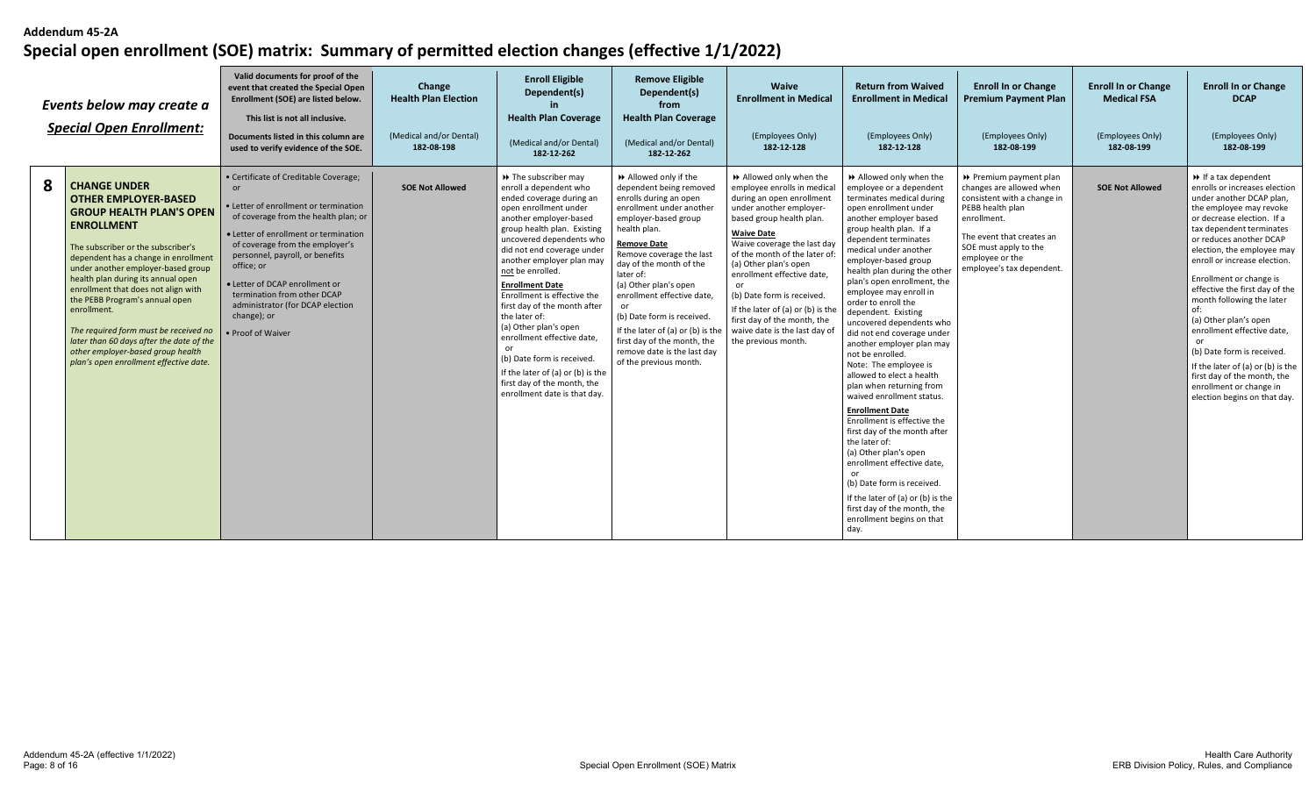|   | Events below may create a<br><b>Special Open Enrollment:</b>                                                                                                                                                                                                                                                                                                                                                                                                                                                                     | Valid documents for proof of the<br>event that created the Special Open<br>Enrollment (SOE) are listed below.<br>This list is not all inclusive.<br>Documents listed in this column are<br>used to verify evidence of the SOE.                                                                                                                                                                     | Change<br><b>Health Plan Election</b><br>(Medical and/or Dental)<br>182-08-198 | <b>Enroll Eligible</b><br>Dependent(s)<br><b>Health Plan Coverage</b><br>(Medical and/or Dental)<br>182-12-262                                                                                                                                                                                                                                                                                                                                                                                                                                                                    | <b>Remove Eligible</b><br>Dependent(s)<br>from<br><b>Health Plan Coverage</b><br>(Medical and/or Dental)<br>182-12-262                                                                                                                                                                                                                                                                                                                                     | <b>Waive</b><br><b>Enrollment in Medical</b><br>(Employees Only)<br>182-12-128                                                                                                                                                                                                                                                                                                                                                                      | <b>Return from Waived</b><br><b>Enrollment in Medical</b><br>(Employees Only)<br>182-12-128                                                                                                                                                                                                                                                                                                                                                                                                                                                                                                                                                                                                                                                                                                                                                                                                                        | <b>Enroll In or Change</b><br><b>Premium Payment Plan</b><br>(Employees Only)<br>182-08-199                                                                                                                                | <b>Enroll In or Change</b><br><b>Medical FSA</b><br>(Employees Only)<br>182-08-199 | <b>Enroll In or Change</b><br><b>DCAP</b><br>(Employees Only)<br>182-08-199                                                                                                                                                                                                                                                                                                                                                                                                                                                                                                                      |
|---|----------------------------------------------------------------------------------------------------------------------------------------------------------------------------------------------------------------------------------------------------------------------------------------------------------------------------------------------------------------------------------------------------------------------------------------------------------------------------------------------------------------------------------|----------------------------------------------------------------------------------------------------------------------------------------------------------------------------------------------------------------------------------------------------------------------------------------------------------------------------------------------------------------------------------------------------|--------------------------------------------------------------------------------|-----------------------------------------------------------------------------------------------------------------------------------------------------------------------------------------------------------------------------------------------------------------------------------------------------------------------------------------------------------------------------------------------------------------------------------------------------------------------------------------------------------------------------------------------------------------------------------|------------------------------------------------------------------------------------------------------------------------------------------------------------------------------------------------------------------------------------------------------------------------------------------------------------------------------------------------------------------------------------------------------------------------------------------------------------|-----------------------------------------------------------------------------------------------------------------------------------------------------------------------------------------------------------------------------------------------------------------------------------------------------------------------------------------------------------------------------------------------------------------------------------------------------|--------------------------------------------------------------------------------------------------------------------------------------------------------------------------------------------------------------------------------------------------------------------------------------------------------------------------------------------------------------------------------------------------------------------------------------------------------------------------------------------------------------------------------------------------------------------------------------------------------------------------------------------------------------------------------------------------------------------------------------------------------------------------------------------------------------------------------------------------------------------------------------------------------------------|----------------------------------------------------------------------------------------------------------------------------------------------------------------------------------------------------------------------------|------------------------------------------------------------------------------------|--------------------------------------------------------------------------------------------------------------------------------------------------------------------------------------------------------------------------------------------------------------------------------------------------------------------------------------------------------------------------------------------------------------------------------------------------------------------------------------------------------------------------------------------------------------------------------------------------|
| 8 | <b>CHANGE UNDER</b><br><b>OTHER EMPLOYER-BASED</b><br><b>GROUP HEALTH PLAN'S OPEN</b><br><b>ENROLLMENT</b><br>The subscriber or the subscriber's<br>dependent has a change in enrollment<br>under another employer-based group<br>health plan during its annual open<br>enrollment that does not align with<br>the PEBB Program's annual open<br>enrollment.<br>The required form must be received no<br>later than 60 days after the date of the<br>other employer-based group health<br>plan's open enrollment effective date. | • Certificate of Creditable Coverage;<br>or<br>· Letter of enrollment or termination<br>of coverage from the health plan; or<br>• Letter of enrollment or termination<br>of coverage from the employer's<br>personnel, payroll, or benefits<br>office; or<br>• Letter of DCAP enrollment or<br>termination from other DCAP<br>administrator (for DCAP election<br>change); or<br>• Proof of Waiver | <b>SOE Not Allowed</b>                                                         | >> The subscriber may<br>enroll a dependent who<br>ended coverage during an<br>open enrollment under<br>another employer-based<br>group health plan. Existing<br>uncovered dependents who<br>did not end coverage under<br>another employer plan may<br>not be enrolled.<br><b>Enrollment Date</b><br>Enrollment is effective the<br>first day of the month after<br>the later of:<br>(a) Other plan's open<br>enrollment effective date,<br>or<br>(b) Date form is received.<br>If the later of (a) or (b) is the<br>first day of the month, the<br>enrollment date is that day. | ▶ Allowed only if the<br>dependent being removed<br>enrolls during an open<br>enrollment under another<br>employer-based group<br>health plan.<br><b>Remove Date</b><br>Remove coverage the last<br>day of the month of the<br>later of:<br>(a) Other plan's open<br>enrollment effective date,<br>(b) Date form is received.<br>If the later of (a) or (b) is the<br>first day of the month, the<br>remove date is the last day<br>of the previous month. | Allowed only when the<br>employee enrolls in medical<br>during an open enrollment<br>under another employer-<br>based group health plan.<br><b>Waive Date</b><br>Waive coverage the last day<br>of the month of the later of<br>(a) Other plan's open<br>enrollment effective date,<br>or<br>(b) Date form is received.<br>If the later of (a) or (b) is the<br>first day of the month, the<br>waive date is the last day of<br>the previous month. | Allowed only when the<br>employee or a dependent<br>terminates medical during<br>open enrollment under<br>another employer based<br>group health plan. If a<br>dependent terminates<br>medical under another<br>employer-based group<br>health plan during the othe<br>plan's open enrollment, the<br>employee may enroll in<br>order to enroll the<br>dependent. Existing<br>uncovered dependents who<br>did not end coverage under<br>another employer plan may<br>not be enrolled.<br>Note: The employee is<br>allowed to elect a health<br>plan when returning from<br>waived enrollment status.<br><b>Enrollment Date</b><br>Enrollment is effective the<br>first day of the month after<br>the later of:<br>(a) Other plan's open<br>enrollment effective date.<br>or<br>(b) Date form is received.<br>If the later of (a) or (b) is the<br>first day of the month, the<br>enrollment begins on that<br>day. | ▶ Premium payment plan<br>changes are allowed when<br>consistent with a change in<br>PEBB health plan<br>enrollment.<br>The event that creates an<br>SOE must apply to the<br>employee or the<br>employee's tax dependent. | <b>SOE Not Allowed</b>                                                             | $\rightarrow$ If a tax dependent<br>enrolls or increases election<br>under another DCAP plan,<br>the employee may revoke<br>or decrease election. If a<br>tax dependent terminates<br>or reduces another DCAP<br>election, the employee may<br>enroll or increase election.<br>Enrollment or change is<br>effective the first day of the<br>month following the later<br>of:<br>(a) Other plan's open<br>enrollment effective date,<br>(b) Date form is received.<br>If the later of (a) or (b) is the<br>first day of the month, the<br>enrollment or change in<br>election begins on that day. |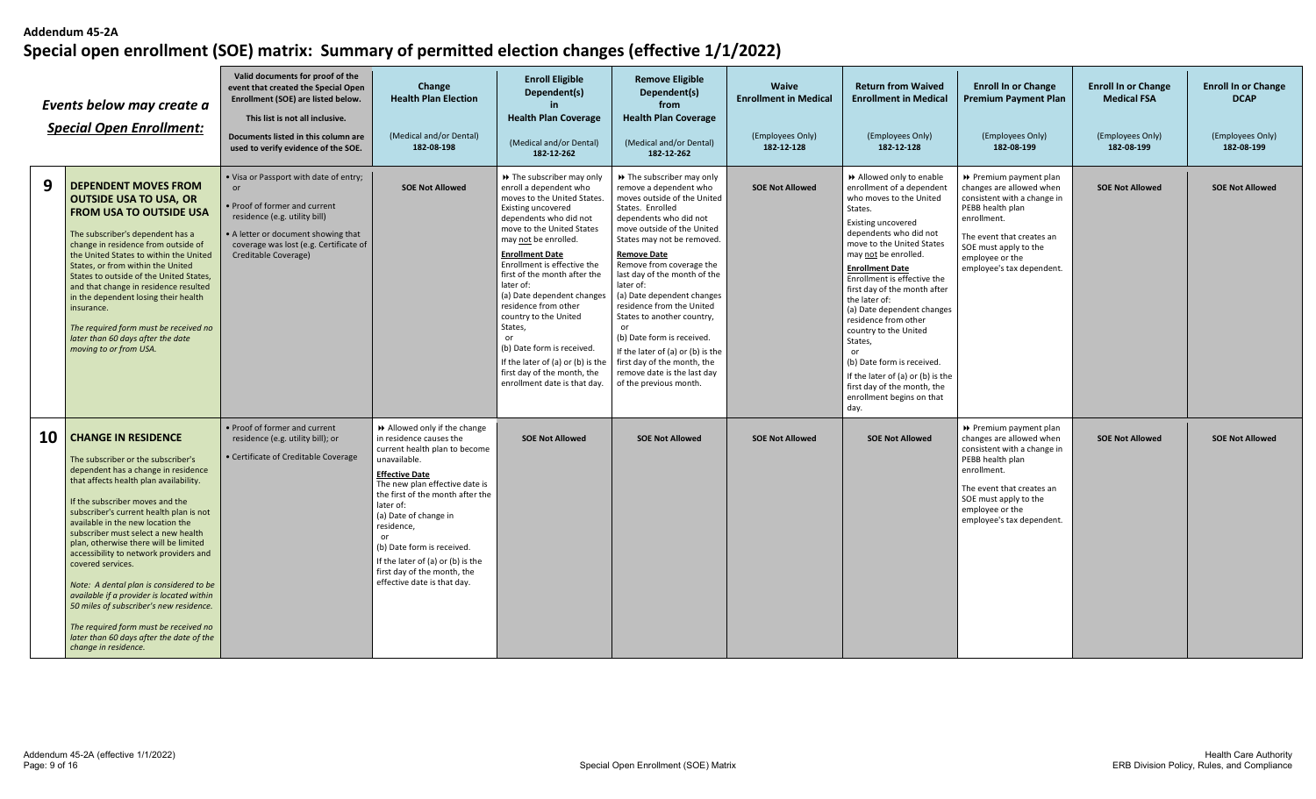|    | Events below may create a<br><b>Special Open Enrollment:</b>                                                                                                                                                                                                                                                                                                                                                                                                                                                                                                                                                                                                        | Valid documents for proof of the<br>event that created the Special Open<br>Enrollment (SOE) are listed below.<br>This list is not all inclusive.<br>Documents listed in this column are<br>used to verify evidence of the SOE.  | Change<br><b>Health Plan Election</b><br>(Medical and/or Dental)<br>182-08-198                                                                                                                                                                                                                                                                                                                      | <b>Enroll Eligible</b><br>Dependent(s)<br>in.<br><b>Health Plan Coverage</b><br>(Medical and/or Dental)<br>182-12-262                                                                                                                                                                                                                                                                                                                                                                                                            | <b>Remove Eligible</b><br>Dependent(s)<br>from<br><b>Health Plan Coverage</b><br>(Medical and/or Dental)<br>182-12-262                                                                                                                                                                                                                                                                                                                                                                                                                                 | <b>Waive</b><br><b>Enrollment in Medical</b><br>(Employees Only)<br>182-12-128 | <b>Return from Waived</b><br><b>Enrollment in Medical</b><br>(Employees Only)<br>182-12-128                                                                                                                                                                                                                                                                                                                                                                                                                                                     | <b>Enroll In or Change</b><br><b>Premium Payment Plan</b><br>(Employees Only)<br>182-08-199                                                                                                                                | <b>Enroll In or Change</b><br><b>Medical FSA</b><br>(Employees Only)<br>182-08-199 | <b>Enroll In or Change</b><br><b>DCAP</b><br>(Employees Only)<br>182-08-199 |
|----|---------------------------------------------------------------------------------------------------------------------------------------------------------------------------------------------------------------------------------------------------------------------------------------------------------------------------------------------------------------------------------------------------------------------------------------------------------------------------------------------------------------------------------------------------------------------------------------------------------------------------------------------------------------------|---------------------------------------------------------------------------------------------------------------------------------------------------------------------------------------------------------------------------------|-----------------------------------------------------------------------------------------------------------------------------------------------------------------------------------------------------------------------------------------------------------------------------------------------------------------------------------------------------------------------------------------------------|----------------------------------------------------------------------------------------------------------------------------------------------------------------------------------------------------------------------------------------------------------------------------------------------------------------------------------------------------------------------------------------------------------------------------------------------------------------------------------------------------------------------------------|--------------------------------------------------------------------------------------------------------------------------------------------------------------------------------------------------------------------------------------------------------------------------------------------------------------------------------------------------------------------------------------------------------------------------------------------------------------------------------------------------------------------------------------------------------|--------------------------------------------------------------------------------|-------------------------------------------------------------------------------------------------------------------------------------------------------------------------------------------------------------------------------------------------------------------------------------------------------------------------------------------------------------------------------------------------------------------------------------------------------------------------------------------------------------------------------------------------|----------------------------------------------------------------------------------------------------------------------------------------------------------------------------------------------------------------------------|------------------------------------------------------------------------------------|-----------------------------------------------------------------------------|
| 9  | <b>DEPENDENT MOVES FROM</b><br><b>OUTSIDE USA TO USA, OR</b><br><b>FROM USA TO OUTSIDE USA</b><br>The subscriber's dependent has a<br>change in residence from outside of<br>the United States to within the United<br>States, or from within the United<br>States to outside of the United States,<br>and that change in residence resulted<br>in the dependent losing their health<br>insurance.<br>The required form must be received no<br>later than 60 days after the date<br>moving to or from USA.                                                                                                                                                          | . Visa or Passport with date of entry;<br>$\alpha$ r<br>• Proof of former and current<br>residence (e.g. utility bill)<br>• A letter or document showing that<br>coverage was lost (e.g. Certificate of<br>Creditable Coverage) | <b>SOE Not Allowed</b>                                                                                                                                                                                                                                                                                                                                                                              | >> The subscriber may only<br>enroll a dependent who<br>moves to the United States.<br>Existing uncovered<br>dependents who did not<br>move to the United States<br>may not be enrolled.<br><b>Enrollment Date</b><br>Enrollment is effective the<br>first of the month after the<br>later of:<br>(a) Date dependent changes<br>residence from other<br>country to the United<br>States,<br>or<br>(b) Date form is received.<br>If the later of (a) or (b) is the<br>first day of the month, the<br>enrollment date is that day. | >> The subscriber may only<br>remove a dependent who<br>moves outside of the United<br>States. Enrolled<br>dependents who did not<br>move outside of the United<br>States may not be removed.<br><b>Remove Date</b><br>Remove from coverage the<br>last day of the month of the<br>later of:<br>(a) Date dependent changes<br>residence from the United<br>States to another country,<br>or<br>(b) Date form is received.<br>If the later of (a) or (b) is the<br>first day of the month, the<br>remove date is the last day<br>of the previous month. | <b>SOE Not Allowed</b>                                                         | Allowed only to enable<br>enrollment of a dependent<br>who moves to the United<br>States.<br>Existing uncovered<br>dependents who did not<br>move to the United States<br>may not be enrolled.<br><b>Enrollment Date</b><br>Enrollment is effective the<br>first day of the month after<br>the later of:<br>(a) Date dependent changes<br>residence from other<br>country to the United<br>States,<br>or<br>(b) Date form is received.<br>If the later of (a) or (b) is the<br>first day of the month, the<br>enrollment begins on that<br>day. | Premium payment plan<br>changes are allowed when<br>consistent with a change in<br>PEBB health plan<br>enrollment.<br>The event that creates an<br>SOE must apply to the<br>employee or the<br>employee's tax dependent.   | <b>SOE Not Allowed</b>                                                             | <b>SOE Not Allowed</b>                                                      |
| 10 | <b>CHANGE IN RESIDENCE</b><br>The subscriber or the subscriber's<br>dependent has a change in residence<br>that affects health plan availability.<br>If the subscriber moves and the<br>subscriber's current health plan is not<br>available in the new location the<br>subscriber must select a new health<br>plan, otherwise there will be limited<br>accessibility to network providers and<br>covered services.<br>Note: A dental plan is considered to be<br>available if a provider is located within<br>50 miles of subscriber's new residence.<br>The required form must be received no<br>later than 60 days after the date of the<br>change in residence. | • Proof of former and current<br>residence (e.g. utility bill); or<br>• Certificate of Creditable Coverage                                                                                                                      | >> Allowed only if the change<br>in residence causes the<br>current health plan to become<br>unavailable.<br><b>Effective Date</b><br>The new plan effective date is<br>the first of the month after the<br>later of:<br>(a) Date of change in<br>residence,<br>or<br>(b) Date form is received.<br>If the later of (a) or (b) is the<br>first day of the month, the<br>effective date is that day. | <b>SOE Not Allowed</b>                                                                                                                                                                                                                                                                                                                                                                                                                                                                                                           | <b>SOE Not Allowed</b>                                                                                                                                                                                                                                                                                                                                                                                                                                                                                                                                 | <b>SOE Not Allowed</b>                                                         | <b>SOE Not Allowed</b>                                                                                                                                                                                                                                                                                                                                                                                                                                                                                                                          | ▶ Premium payment plan<br>changes are allowed when<br>consistent with a change in<br>PEBB health plan<br>enrollment.<br>The event that creates an<br>SOE must apply to the<br>employee or the<br>employee's tax dependent. | <b>SOE Not Allowed</b>                                                             | <b>SOE Not Allowed</b>                                                      |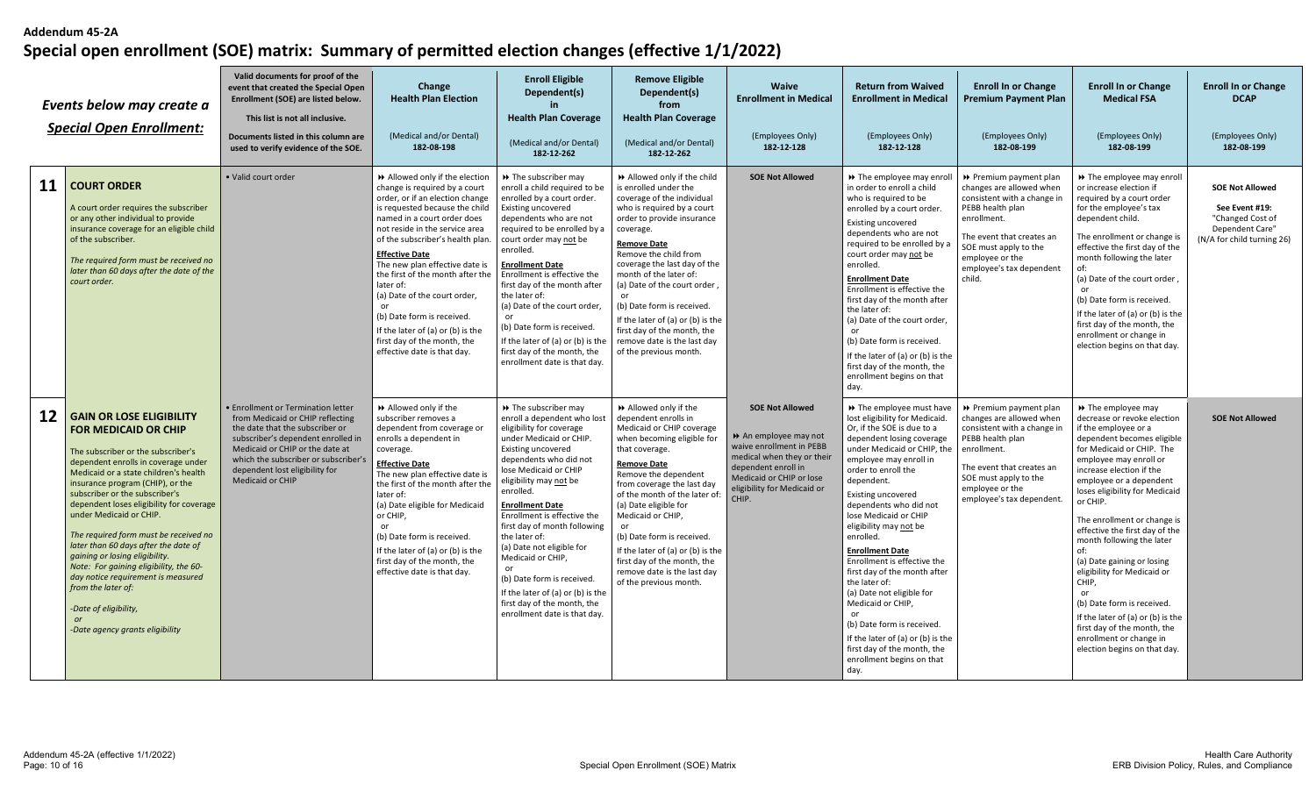|                 | Events below may create a<br><b>Special Open Enrollment:</b>                                                                                                                                                                                                                                                                                                                                                                                                                                                                                                                                                           | Valid documents for proof of the<br>event that created the Special Open<br>Enrollment (SOE) are listed below.<br>This list is not all inclusive.<br>Documents listed in this column are<br>used to verify evidence of the SOE.                                                                 | Change<br><b>Health Plan Election</b><br>(Medical and/or Dental)<br>182-08-198                                                                                                                                                                                                                                                                                                                                                                                                                                             | <b>Enroll Eligible</b><br>Dependent(s)<br><b>Health Plan Coverage</b><br>(Medical and/or Dental)<br>182-12-262                                                                                                                                                                                                                                                                                                                                                                                                            | <b>Remove Eligible</b><br>Dependent(s)<br>from<br><b>Health Plan Coverage</b><br>(Medical and/or Dental)<br>182-12-262                                                                                                                                                                                                                                                                                                                                                | Waive<br><b>Enrollment in Medical</b><br>(Employees Only)<br>182-12-128                                                                                                                            | <b>Return from Waived</b><br><b>Enrollment in Medical</b><br>(Employees Only)<br>182-12-128                                                                                                                                                                                                                                                                                                                                                                                                                                                                                                                                                    | <b>Enroll In or Change</b><br><b>Premium Payment Plan</b><br>(Employees Only)<br>182-08-199                                                                                                                                         | <b>Enroll In or Change</b><br><b>Medical FSA</b><br>(Employees Only)<br>182-08-199                                                                                                                                                                                                                                                                                                                                                                                                                                                                                                                                | <b>Enroll In or Change</b><br><b>DCAP</b><br>(Employees Only)<br>182-08-199                                   |
|-----------------|------------------------------------------------------------------------------------------------------------------------------------------------------------------------------------------------------------------------------------------------------------------------------------------------------------------------------------------------------------------------------------------------------------------------------------------------------------------------------------------------------------------------------------------------------------------------------------------------------------------------|------------------------------------------------------------------------------------------------------------------------------------------------------------------------------------------------------------------------------------------------------------------------------------------------|----------------------------------------------------------------------------------------------------------------------------------------------------------------------------------------------------------------------------------------------------------------------------------------------------------------------------------------------------------------------------------------------------------------------------------------------------------------------------------------------------------------------------|---------------------------------------------------------------------------------------------------------------------------------------------------------------------------------------------------------------------------------------------------------------------------------------------------------------------------------------------------------------------------------------------------------------------------------------------------------------------------------------------------------------------------|-----------------------------------------------------------------------------------------------------------------------------------------------------------------------------------------------------------------------------------------------------------------------------------------------------------------------------------------------------------------------------------------------------------------------------------------------------------------------|----------------------------------------------------------------------------------------------------------------------------------------------------------------------------------------------------|------------------------------------------------------------------------------------------------------------------------------------------------------------------------------------------------------------------------------------------------------------------------------------------------------------------------------------------------------------------------------------------------------------------------------------------------------------------------------------------------------------------------------------------------------------------------------------------------------------------------------------------------|-------------------------------------------------------------------------------------------------------------------------------------------------------------------------------------------------------------------------------------|-------------------------------------------------------------------------------------------------------------------------------------------------------------------------------------------------------------------------------------------------------------------------------------------------------------------------------------------------------------------------------------------------------------------------------------------------------------------------------------------------------------------------------------------------------------------------------------------------------------------|---------------------------------------------------------------------------------------------------------------|
| 11              | <b>COURT ORDER</b><br>A court order requires the subscriber<br>or any other individual to provide<br>insurance coverage for an eligible child<br>of the subscriber.<br>The required form must be received no<br>later than 60 days after the date of the<br>court order.                                                                                                                                                                                                                                                                                                                                               | · Valid court order                                                                                                                                                                                                                                                                            | Allowed only if the election<br>change is required by a court<br>order, or if an election change<br>is requested because the child<br>named in a court order does<br>not reside in the service area<br>of the subscriber's health plan.<br><b>Effective Date</b><br>The new plan effective date is<br>the first of the month after the<br>later of:<br>(a) Date of the court order,<br>or<br>(b) Date form is received.<br>If the later of (a) or (b) is the<br>first day of the month, the<br>effective date is that day. | >> The subscriber may<br>enroll a child required to be<br>enrolled by a court order.<br>Existing uncovered<br>dependents who are not<br>required to be enrolled by a<br>court order may not be<br>enrolled.<br><b>Enrollment Date</b><br>Enrollment is effective the<br>first day of the month after<br>the later of:<br>(a) Date of the court order,<br>(b) Date form is received.<br>If the later of (a) or (b) is the<br>first day of the month, the<br>enrollment date is that day.                                   | >> Allowed only if the child<br>is enrolled under the<br>coverage of the individual<br>who is required by a court<br>order to provide insurance<br>coverage.<br><b>Remove Date</b><br>Remove the child from<br>coverage the last day of the<br>month of the later of:<br>(a) Date of the court order<br>or<br>(b) Date form is received.<br>If the later of (a) or (b) is the<br>first day of the month, the<br>remove date is the last day<br>of the previous month. | <b>SOE Not Allowed</b>                                                                                                                                                                             | → The employee may enrol<br>in order to enroll a child<br>who is required to be<br>enrolled by a court order.<br>Existing uncovered<br>dependents who are not<br>required to be enrolled by a<br>court order may not be<br>enrolled.<br><b>Enrollment Date</b><br>Enrollment is effective the<br>first day of the month after<br>the later of:<br>(a) Date of the court order,<br>or<br>(b) Date form is received.<br>If the later of (a) or (b) is the<br>first day of the month, the<br>enrollment begins on that<br>day.                                                                                                                    | ▶ Premium payment plan<br>changes are allowed when<br>consistent with a change in<br>PEBB health plan<br>enrollment.<br>The event that creates an<br>SOE must apply to the<br>employee or the<br>employee's tax dependent<br>child. | >> The employee may enroll<br>or increase election if<br>required by a court order<br>for the employee's tax<br>dependent child.<br>The enrollment or change is<br>effective the first day of the<br>month following the later<br>of:<br>(a) Date of the court order<br>or<br>(b) Date form is received.<br>If the later of (a) or (b) is the<br>first day of the month, the<br>enrollment or change in<br>election begins on that day.                                                                                                                                                                           | <b>SOE Not Allowed</b><br>See Event #19:<br>"Changed Cost of<br>Dependent Care"<br>(N/A for child turning 26) |
| 12 <sup>2</sup> | <b>GAIN OR LOSE ELIGIBILITY</b><br><b>FOR MEDICAID OR CHIP</b><br>The subscriber or the subscriber's<br>dependent enrolls in coverage under<br>Medicaid or a state children's health<br>insurance program (CHIP), or the<br>subscriber or the subscriber's<br>dependent loses eligibility for coverage<br>under Medicaid or CHIP.<br>The required form must be received no<br>later than 60 days after the date of<br>gaining or losing eligibility.<br>Note: For gaining eligibility, the 60-<br>day notice requirement is measured<br>from the later of:<br>-Date of eligibility,<br>-Date agency grants eligibility | <b>• Enrollment or Termination letter</b><br>from Medicaid or CHIP reflecting<br>the date that the subscriber or<br>subscriber's dependent enrolled in<br>Medicaid or CHIP or the date at<br>which the subscriber or subscriber's<br>dependent lost eligibility for<br><b>Medicaid or CHIP</b> | Allowed only if the<br>subscriber removes a<br>dependent from coverage or<br>enrolls a dependent in<br>coverage.<br><b>Effective Date</b><br>The new plan effective date is<br>the first of the month after the<br>later of:<br>(a) Date eligible for Medicaid<br>or CHIP,<br>or<br>(b) Date form is received.<br>If the later of (a) or (b) is the<br>first day of the month, the<br>effective date is that day.                                                                                                          | >> The subscriber may<br>enroll a dependent who lost<br>eligibility for coverage<br>under Medicaid or CHIP.<br>Existing uncovered<br>dependents who did not<br>lose Medicaid or CHIP<br>eligibility may not be<br>enrolled.<br><b>Enrollment Date</b><br>Enrollment is effective the<br>first day of month following<br>the later of:<br>(a) Date not eligible for<br>Medicaid or CHIP,<br>(b) Date form is received.<br>If the later of (a) or (b) is the<br>first day of the month, the<br>enrollment date is that day. | >> Allowed only if the<br>dependent enrolls in<br>Medicaid or CHIP coverage<br>when becoming eligible for<br>that coverage.<br><b>Remove Date</b><br>Remove the dependent<br>from coverage the last day<br>of the month of the later of:<br>(a) Date eligible for<br>Medicaid or CHIP,<br>or<br>(b) Date form is received.<br>If the later of (a) or (b) is the<br>first day of the month, the<br>remove date is the last day<br>of the previous month.               | <b>SOE Not Allowed</b><br>An employee may not<br>waive enrollment in PEBB<br>medical when they or their<br>dependent enroll in<br>Medicaid or CHIP or lose<br>eligibility for Medicaid or<br>CHIP. | >> The employee must have<br>lost eligibility for Medicaid.<br>Or, if the SOE is due to a<br>dependent losing coverage<br>under Medicaid or CHIP, the<br>employee may enroll in<br>order to enroll the<br>dependent.<br><b>Existing uncovered</b><br>dependents who did not<br>lose Medicaid or CHIP<br>eligibility may not be<br>enrolled.<br><b>Enrollment Date</b><br>Enrollment is effective the<br>first day of the month after<br>the later of:<br>(a) Date not eligible for<br>Medicaid or CHIP,<br>(b) Date form is received.<br>If the later of (a) or (b) is the<br>first day of the month, the<br>enrollment begins on that<br>day. | Premium payment plan<br>changes are allowed when<br>consistent with a change in<br>PEBB health plan<br>enrollment.<br>The event that creates an<br>SOE must apply to the<br>employee or the<br>employee's tax dependent.            | >> The employee may<br>decrease or revoke election<br>if the employee or a<br>dependent becomes eligible<br>for Medicaid or CHIP. The<br>employee may enroll or<br>increase election if the<br>employee or a dependent<br>loses eligibility for Medicaid<br>or CHIP.<br>The enrollment or change is<br>effective the first day of the<br>month following the later<br>of:<br>(a) Date gaining or losing<br>eligibility for Medicaid or<br>CHIP,<br>or<br>(b) Date form is received<br>If the later of (a) or (b) is the<br>first day of the month, the<br>enrollment or change in<br>election begins on that day. | <b>SOE Not Allowed</b>                                                                                        |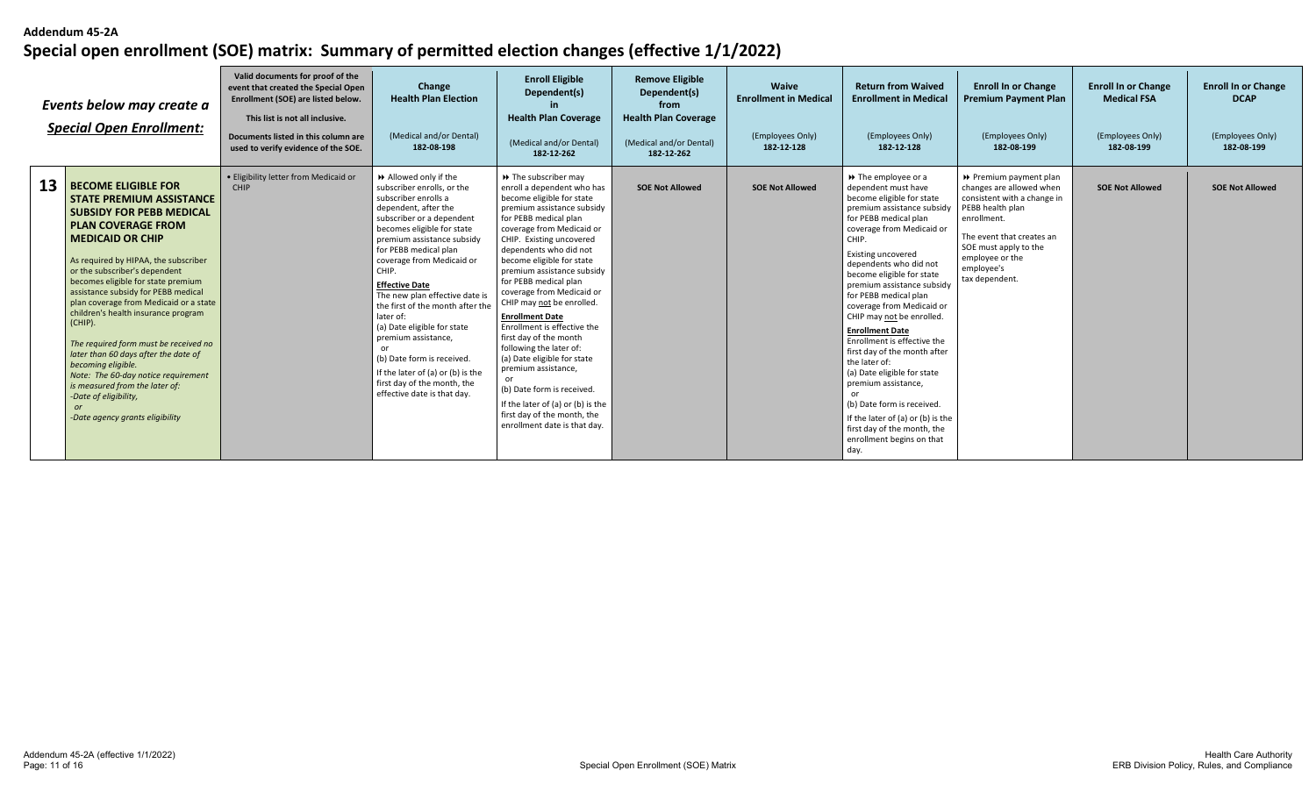| Events below may create a<br><b>Special Open Enrollment:</b>                                                                                                                                                                                                                                                                                                                                                                                                                                                                                                                                                                                                       | Valid documents for proof of the<br>event that created the Special Open<br>Enrollment (SOE) are listed below.<br>This list is not all inclusive.<br>Documents listed in this column are<br>used to verify evidence of the SOE. | Change<br><b>Health Plan Election</b><br>(Medical and/or Dental)<br>182-08-198                                                                                                                                                                                                                                                                                                                                                                                                                                                                                     | <b>Enroll Eligible</b><br>Dependent(s)<br><b>Health Plan Coverage</b><br>(Medical and/or Dental)<br>182-12-262                                                                                                                                                                                                                                                                                                                                                                                                                                                                                                                                                                | <b>Remove Eligible</b><br>Dependent(s)<br>from<br><b>Health Plan Coverage</b><br>(Medical and/or Dental)<br>182-12-262 | Waive<br><b>Enrollment in Medical</b><br>(Employees Only)<br>182-12-128 | <b>Return from Waived</b><br><b>Enrollment in Medical</b><br>(Employees Only)<br>182-12-128                                                                                                                                                                                                                                                                                                                                                                                                                                                                                                                                                                                                 | <b>Enroll In or Change</b><br><b>Premium Payment Plan</b><br>(Employees Only)<br>182-08-199                                                                                                                                   | <b>Enroll In or Change</b><br><b>Medical FSA</b><br>(Employees Only)<br>182-08-199 | <b>Enroll In or Change</b><br><b>DCAP</b><br>(Employees Only)<br>182-08-199 |
|--------------------------------------------------------------------------------------------------------------------------------------------------------------------------------------------------------------------------------------------------------------------------------------------------------------------------------------------------------------------------------------------------------------------------------------------------------------------------------------------------------------------------------------------------------------------------------------------------------------------------------------------------------------------|--------------------------------------------------------------------------------------------------------------------------------------------------------------------------------------------------------------------------------|--------------------------------------------------------------------------------------------------------------------------------------------------------------------------------------------------------------------------------------------------------------------------------------------------------------------------------------------------------------------------------------------------------------------------------------------------------------------------------------------------------------------------------------------------------------------|-------------------------------------------------------------------------------------------------------------------------------------------------------------------------------------------------------------------------------------------------------------------------------------------------------------------------------------------------------------------------------------------------------------------------------------------------------------------------------------------------------------------------------------------------------------------------------------------------------------------------------------------------------------------------------|------------------------------------------------------------------------------------------------------------------------|-------------------------------------------------------------------------|---------------------------------------------------------------------------------------------------------------------------------------------------------------------------------------------------------------------------------------------------------------------------------------------------------------------------------------------------------------------------------------------------------------------------------------------------------------------------------------------------------------------------------------------------------------------------------------------------------------------------------------------------------------------------------------------|-------------------------------------------------------------------------------------------------------------------------------------------------------------------------------------------------------------------------------|------------------------------------------------------------------------------------|-----------------------------------------------------------------------------|
| 13<br><b>BECOME ELIGIBLE FOR</b><br><b>STATE PREMIUM ASSISTANCE</b><br><b>SUBSIDY FOR PEBB MEDICAL</b><br><b>PLAN COVERAGE FROM</b><br><b>MEDICAID OR CHIP</b><br>As required by HIPAA, the subscriber<br>or the subscriber's dependent<br>becomes eligible for state premium<br>assistance subsidy for PEBB medical<br>plan coverage from Medicaid or a state<br>children's health insurance program<br>(CHIP).<br>The required form must be received no<br>later than 60 days after the date of<br>becoming eligible.<br>Note: The 60-day notice requirement<br>is measured from the later of:<br>-Date of eligibility,<br>or<br>-Date agency grants eligibility | . Eligibility letter from Medicaid or<br>CHIP                                                                                                                                                                                  | Allowed only if the<br>subscriber enrolls, or the<br>subscriber enrolls a<br>dependent, after the<br>subscriber or a dependent<br>becomes eligible for state<br>premium assistance subsidy<br>for PEBB medical plan<br>coverage from Medicaid or<br>CHIP.<br><b>Effective Date</b><br>The new plan effective date is<br>the first of the month after the<br>later of:<br>(a) Date eligible for state<br>premium assistance,<br>or<br>(b) Date form is received.<br>If the later of (a) or (b) is the<br>first day of the month, the<br>effective date is that day. | → The subscriber may<br>enroll a dependent who has<br>become eligible for state<br>premium assistance subsidy<br>for PEBB medical plan<br>coverage from Medicaid or<br>CHIP. Existing uncovered<br>dependents who did not<br>become eligible for state<br>premium assistance subsidy<br>for PEBB medical plan<br>coverage from Medicaid or<br>CHIP may not be enrolled.<br><b>Enrollment Date</b><br>Enrollment is effective the<br>first day of the month<br>following the later of:<br>(a) Date eligible for state<br>premium assistance,<br>(b) Date form is received.<br>If the later of (a) or (b) is the<br>first day of the month, the<br>enrollment date is that day. | <b>SOE Not Allowed</b>                                                                                                 | <b>SOE Not Allowed</b>                                                  | $\rightarrow$ The employee or a<br>dependent must have<br>become eligible for state<br>premium assistance subsidy<br>for PEBB medical plan<br>coverage from Medicaid or<br>CHIP.<br><b>Existing uncovered</b><br>dependents who did not<br>become eligible for state<br>premium assistance subsidy<br>for PEBB medical plan<br>coverage from Medicaid or<br>CHIP may not be enrolled<br><b>Enrollment Date</b><br>Enrollment is effective the<br>first day of the month after<br>the later of:<br>(a) Date eligible for state<br>premium assistance,<br>(b) Date form is received.<br>If the later of (a) or (b) is the<br>first day of the month, the<br>enrollment begins on that<br>day. | ▶ Premium payment plan<br>changes are allowed when<br>consistent with a change in<br>PEBB health plan<br>enrollment.<br>The event that creates an<br>SOE must apply to the<br>employee or the<br>employee's<br>tax dependent. | <b>SOE Not Allowed</b>                                                             | <b>SOE Not Allowed</b>                                                      |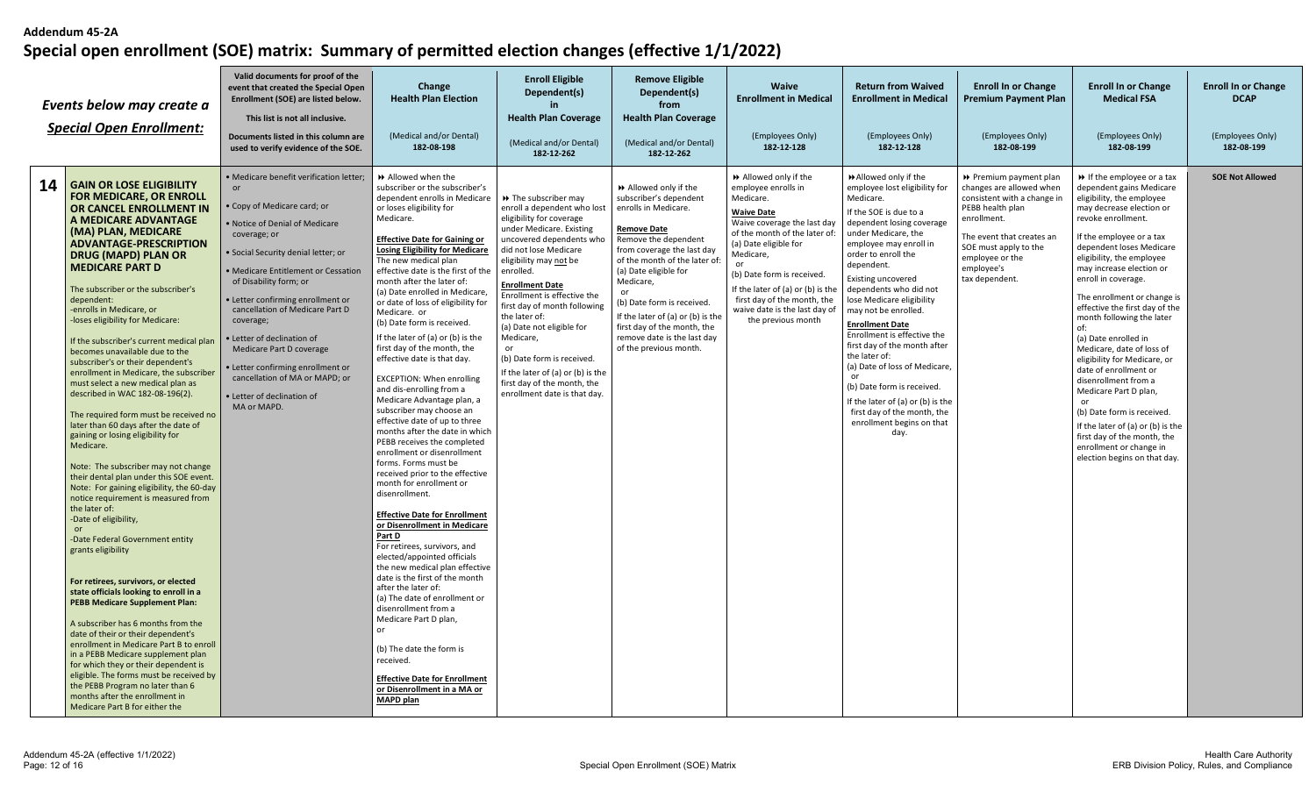| Events below may create a<br><b>Special Open Enrollment:</b>                                                                                                                                                                                                                                                                                                                                                                                                                                                                                                                                                                                                                                                                                                                                                                                                                                                                                                                                                                                                                                                                                                                                                                                                                                                                                                                                                                                                                                                  | Valid documents for proof of the<br>event that created the Special Open<br>Enrollment (SOE) are listed below.<br>This list is not all inclusive.<br>Documents listed in this column are<br>used to verify evidence of the SOE.                                                                                                                                                                                                                                                                          | Change<br><b>Health Plan Election</b><br>(Medical and/or Dental)<br>182-08-198                                                                                                                                                                                                                                                                                                                                                                                                                                                                                                                                                                                                                                                                                                                                                                                                                                                                                                                                                                                                                                                                                                                                                                                                                                                                                            | <b>Enroll Eligible</b><br>Dependent(s)<br>in.<br><b>Health Plan Coverage</b><br>(Medical and/or Dental)<br>182-12-262                                                                                                                                                                                                                                                                                                                                                                                | <b>Remove Eligible</b><br>Dependent(s)<br>from<br><b>Health Plan Coverage</b><br>(Medical and/or Dental)<br>182-12-262                                                                                                                                                                                                                                                                       | Waive<br><b>Enrollment in Medical</b><br>(Employees Only)<br>182-12-128                                                                                                                                                                                                                                                                     | <b>Return from Waived</b><br><b>Enrollment in Medical</b><br>(Employees Only)<br>182-12-128                                                                                                                                                                                                                                                                                                                                                                                                                                                                                                                        | <b>Enroll In or Change</b><br><b>Premium Payment Plan</b><br>(Employees Only)<br>182-08-199                                                                                                                                 | <b>Enroll In or Change</b><br><b>Medical FSA</b><br>(Employees Only)<br>182-08-199                                                                                                                                                                                                                                                                                                                                                                                                                                                                                                                                                                                                                           | <b>Enroll In or Change</b><br><b>DCAP</b><br>(Employees Only)<br>182-08-199 |
|---------------------------------------------------------------------------------------------------------------------------------------------------------------------------------------------------------------------------------------------------------------------------------------------------------------------------------------------------------------------------------------------------------------------------------------------------------------------------------------------------------------------------------------------------------------------------------------------------------------------------------------------------------------------------------------------------------------------------------------------------------------------------------------------------------------------------------------------------------------------------------------------------------------------------------------------------------------------------------------------------------------------------------------------------------------------------------------------------------------------------------------------------------------------------------------------------------------------------------------------------------------------------------------------------------------------------------------------------------------------------------------------------------------------------------------------------------------------------------------------------------------|---------------------------------------------------------------------------------------------------------------------------------------------------------------------------------------------------------------------------------------------------------------------------------------------------------------------------------------------------------------------------------------------------------------------------------------------------------------------------------------------------------|---------------------------------------------------------------------------------------------------------------------------------------------------------------------------------------------------------------------------------------------------------------------------------------------------------------------------------------------------------------------------------------------------------------------------------------------------------------------------------------------------------------------------------------------------------------------------------------------------------------------------------------------------------------------------------------------------------------------------------------------------------------------------------------------------------------------------------------------------------------------------------------------------------------------------------------------------------------------------------------------------------------------------------------------------------------------------------------------------------------------------------------------------------------------------------------------------------------------------------------------------------------------------------------------------------------------------------------------------------------------------|------------------------------------------------------------------------------------------------------------------------------------------------------------------------------------------------------------------------------------------------------------------------------------------------------------------------------------------------------------------------------------------------------------------------------------------------------------------------------------------------------|----------------------------------------------------------------------------------------------------------------------------------------------------------------------------------------------------------------------------------------------------------------------------------------------------------------------------------------------------------------------------------------------|---------------------------------------------------------------------------------------------------------------------------------------------------------------------------------------------------------------------------------------------------------------------------------------------------------------------------------------------|--------------------------------------------------------------------------------------------------------------------------------------------------------------------------------------------------------------------------------------------------------------------------------------------------------------------------------------------------------------------------------------------------------------------------------------------------------------------------------------------------------------------------------------------------------------------------------------------------------------------|-----------------------------------------------------------------------------------------------------------------------------------------------------------------------------------------------------------------------------|--------------------------------------------------------------------------------------------------------------------------------------------------------------------------------------------------------------------------------------------------------------------------------------------------------------------------------------------------------------------------------------------------------------------------------------------------------------------------------------------------------------------------------------------------------------------------------------------------------------------------------------------------------------------------------------------------------------|-----------------------------------------------------------------------------|
| 14   GAIN OR LOSE ELIGIBILITY<br><b>FOR MEDICARE, OR ENROLL</b><br><b>OR CANCEL ENROLLMENT IN</b><br>A MEDICARE ADVANTAGE<br>(MA) PLAN, MEDICARE<br><b>ADVANTAGE-PRESCRIPTION</b><br><b>DRUG (MAPD) PLAN OR</b><br><b>MEDICARE PART D</b><br>The subscriber or the subscriber's<br>dependent:<br>-enrolls in Medicare, or<br>-loses eligibility for Medicare:<br>If the subscriber's current medical plan<br>becomes unavailable due to the<br>subscriber's or their dependent's<br>enrollment in Medicare, the subscriber<br>must select a new medical plan as<br>described in WAC 182-08-196(2).<br>The required form must be received no<br>later than 60 days after the date of<br>gaining or losing eligibility for<br>Medicare.<br>Note: The subscriber may not change<br>their dental plan under this SOE event.<br>Note: For gaining eligibility, the 60-day<br>notice requirement is measured from<br>the later of:<br>-Date of eligibility,<br><b>or</b><br>-Date Federal Government entity<br>grants eligibility<br>For retirees, survivors, or elected<br>state officials looking to enroll in a<br><b>PEBB Medicare Supplement Plan:</b><br>A subscriber has 6 months from the<br>date of their or their dependent's<br>enrollment in Medicare Part B to enroll<br>in a PEBB Medicare supplement plan<br>for which they or their dependent is<br>eligible. The forms must be received by<br>the PEBB Program no later than 6<br>months after the enrollment in<br>Medicare Part B for either the | · Medicare benefit verification letter;<br>or<br>Copy of Medicare card; or<br>. Notice of Denial of Medicare<br>coverage; or<br>· Social Security denial letter; or<br>• Medicare Entitlement or Cessation<br>of Disability form; or<br>· Letter confirming enrollment or<br>cancellation of Medicare Part D<br>coverage;<br>• Letter of declination of<br>Medicare Part D coverage<br>• Letter confirming enrollment or<br>cancellation of MA or MAPD; or<br>· Letter of declination of<br>MA or MAPD. | >> Allowed when the<br>subscriber or the subscriber's<br>dependent enrolls in Medicare<br>or loses eligibility for<br>Medicare.<br><b>Effective Date for Gaining or</b><br><b>Losing Eligibility for Medicare</b><br>The new medical plan<br>effective date is the first of the<br>month after the later of:<br>(a) Date enrolled in Medicare,<br>or date of loss of eligibility for<br>Medicare. or<br>(b) Date form is received.<br>If the later of (a) or (b) is the<br>first day of the month, the<br>effective date is that day.<br><b>EXCEPTION: When enrolling</b><br>and dis-enrolling from a<br>Medicare Advantage plan, a<br>subscriber may choose an<br>effective date of up to three<br>months after the date in which<br>PEBB receives the completed<br>enrollment or disenrollment<br>forms. Forms must be<br>received prior to the effective<br>month for enrollment or<br>disenrollment.<br><b>Effective Date for Enrollment</b><br>or Disenrollment in Medicare<br>Part D<br>For retirees, survivors, and<br>elected/appointed officials<br>the new medical plan effective<br>date is the first of the month<br>after the later of:<br>(a) The date of enrollment or<br>disenrollment from a<br>Medicare Part D plan,<br>or<br>(b) The date the form is<br>received.<br><b>Effective Date for Enrollment</b><br>or Disenrollment in a MA or<br>MAPD plan | >> The subscriber may<br>enroll a dependent who lost<br>eligibility for coverage<br>under Medicare. Existing<br>uncovered dependents who<br>did not lose Medicare<br>eligibility may not be<br>enrolled.<br><b>Enrollment Date</b><br>Enrollment is effective the<br>first day of month following<br>the later of:<br>(a) Date not eligible for<br>Medicare,<br>or<br>(b) Date form is received.<br>If the later of (a) or (b) is the<br>first day of the month, the<br>enrollment date is that day. | >> Allowed only if the<br>subscriber's dependent<br>enrolls in Medicare.<br><b>Remove Date</b><br>Remove the dependent<br>from coverage the last day<br>of the month of the later of:<br>(a) Date eligible for<br>Medicare,<br>or<br>(b) Date form is received.<br>If the later of (a) or (b) is the<br>first day of the month, the<br>remove date is the last day<br>of the previous month. | Allowed only if the<br>employee enrolls in<br>Medicare.<br><b>Waive Date</b><br>Waive coverage the last day<br>of the month of the later of:<br>(a) Date eligible for<br>Medicare,<br>(b) Date form is received.<br>If the later of (a) or (b) is the<br>first day of the month, the<br>waive date is the last day of<br>the previous month | Allowed only if the<br>employee lost eligibility for<br>Medicare.<br>If the SOE is due to a<br>dependent losing coverage<br>under Medicare, the<br>employee may enroll in<br>order to enroll the<br>dependent.<br><b>Existing uncovered</b><br>dependents who did not<br>lose Medicare eligibility<br>may not be enrolled.<br><b>Enrollment Date</b><br>Enrollment is effective the<br>first day of the month after<br>the later of:<br>(a) Date of loss of Medicare,<br>or<br>(b) Date form is received.<br>If the later of (a) or (b) is the<br>first day of the month, the<br>enrollment begins on that<br>day. | Premium payment plan<br>changes are allowed when<br>consistent with a change in<br>PEBB health plan<br>enrollment.<br>The event that creates an<br>SOE must apply to the<br>employee or the<br>employee's<br>tax dependent. | If the employee or a tax<br>dependent gains Medicare<br>eligibility, the employee<br>may decrease election or<br>revoke enrollment.<br>If the employee or a tax<br>dependent loses Medicare<br>eligibility, the employee<br>may increase election or<br>enroll in coverage.<br>The enrollment or change is<br>effective the first day of the<br>month following the later<br>of:<br>(a) Date enrolled in<br>Medicare, date of loss of<br>eligibility for Medicare, or<br>date of enrollment or<br>disenrollment from a<br>Medicare Part D plan,<br>(b) Date form is received.<br>If the later of (a) or (b) is the<br>first day of the month, the<br>enrollment or change in<br>election begins on that day. | <b>SOE Not Allowed</b>                                                      |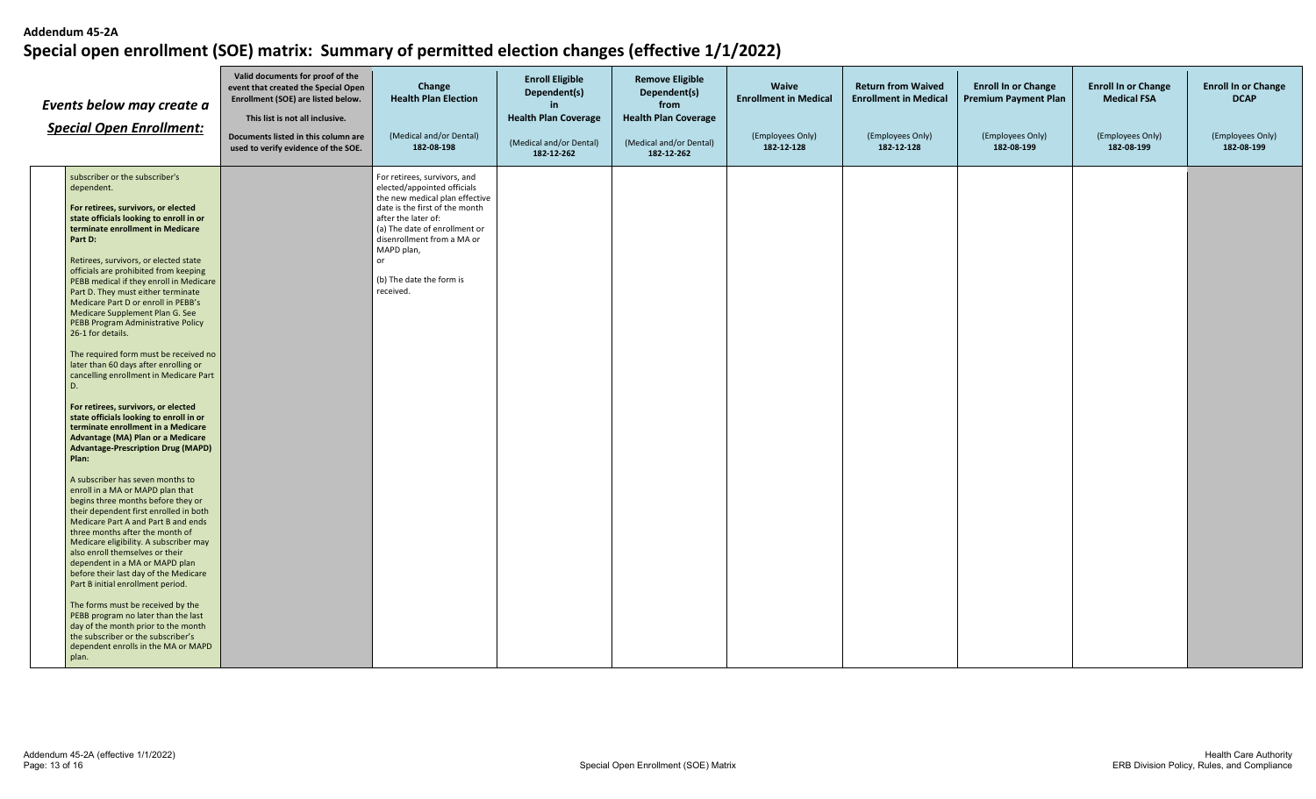| Events below may create a<br><b>Special Open Enrollment:</b> |                                                                                                                                                                                                                                                                                                                                                                                                                                                                                                                                                                                                                                                                                                                                                                                                                                                                                                                                                                                                                                                                                                                                                                                                                                                                                                                                                       | Valid documents for proof of the<br>event that created the Special Open<br>Enrollment (SOE) are listed below.<br>This list is not all inclusive.<br>Documents listed in this column are<br>used to verify evidence of the SOE. | Change<br><b>Health Plan Election</b><br>(Medical and/or Dental)<br>182-08-198                                                                                                                                                                                                     | <b>Enroll Eligible</b><br>Dependent(s)<br>in.<br><b>Health Plan Coverage</b><br>(Medical and/or Dental)<br>182-12-262 | <b>Remove Eligible</b><br>Dependent(s)<br>from<br><b>Health Plan Coverage</b><br>(Medical and/or Dental)<br>182-12-262 | Waive<br><b>Enrollment in Medical</b><br>(Employees Only)<br>182-12-128 | <b>Return from Waived</b><br><b>Enrollment in Medical</b><br>(Employees Only)<br>182-12-128 | <b>Enroll In or Change</b><br><b>Premium Payment Plan</b><br>(Employees Only)<br>182-08-199 | <b>Enroll In or Change</b><br><b>Medical FSA</b><br>(Employees Only)<br>182-08-199 | <b>Enroll In or Change</b><br><b>DCAP</b><br>(Employees Only)<br>182-08-199 |
|--------------------------------------------------------------|-------------------------------------------------------------------------------------------------------------------------------------------------------------------------------------------------------------------------------------------------------------------------------------------------------------------------------------------------------------------------------------------------------------------------------------------------------------------------------------------------------------------------------------------------------------------------------------------------------------------------------------------------------------------------------------------------------------------------------------------------------------------------------------------------------------------------------------------------------------------------------------------------------------------------------------------------------------------------------------------------------------------------------------------------------------------------------------------------------------------------------------------------------------------------------------------------------------------------------------------------------------------------------------------------------------------------------------------------------|--------------------------------------------------------------------------------------------------------------------------------------------------------------------------------------------------------------------------------|------------------------------------------------------------------------------------------------------------------------------------------------------------------------------------------------------------------------------------------------------------------------------------|-----------------------------------------------------------------------------------------------------------------------|------------------------------------------------------------------------------------------------------------------------|-------------------------------------------------------------------------|---------------------------------------------------------------------------------------------|---------------------------------------------------------------------------------------------|------------------------------------------------------------------------------------|-----------------------------------------------------------------------------|
|                                                              | subscriber or the subscriber's<br>dependent.<br>For retirees, survivors, or elected<br>state officials looking to enroll in or<br>terminate enrollment in Medicare<br>Part D:<br>Retirees, survivors, or elected state<br>officials are prohibited from keeping<br>PEBB medical if they enroll in Medicare<br>Part D. They must either terminate<br>Medicare Part D or enroll in PEBB's<br>Medicare Supplement Plan G. See<br>PEBB Program Administrative Policy<br>26-1 for details.<br>The required form must be received no<br>later than 60 days after enrolling or<br>cancelling enrollment in Medicare Part<br>D.<br>For retirees, survivors, or elected<br>state officials looking to enroll in or<br>terminate enrollment in a Medicare<br>Advantage (MA) Plan or a Medicare<br><b>Advantage-Prescription Drug (MAPD)</b><br>Plan:<br>A subscriber has seven months to<br>enroll in a MA or MAPD plan that<br>begins three months before they or<br>their dependent first enrolled in both<br>Medicare Part A and Part B and ends<br>three months after the month of<br>Medicare eligibility. A subscriber may<br>also enroll themselves or their<br>dependent in a MA or MAPD plan<br>before their last day of the Medicare<br>Part B initial enrollment period.<br>The forms must be received by the<br>PEBB program no later than the last |                                                                                                                                                                                                                                | For retirees, survivors, and<br>elected/appointed officials<br>the new medical plan effective<br>date is the first of the month<br>after the later of:<br>(a) The date of enrollment or<br>disenrollment from a MA or<br>MAPD plan,<br>or<br>(b) The date the form is<br>received. |                                                                                                                       |                                                                                                                        |                                                                         |                                                                                             |                                                                                             |                                                                                    |                                                                             |
|                                                              | day of the month prior to the month<br>the subscriber or the subscriber's<br>dependent enrolls in the MA or MAPD<br>plan.                                                                                                                                                                                                                                                                                                                                                                                                                                                                                                                                                                                                                                                                                                                                                                                                                                                                                                                                                                                                                                                                                                                                                                                                                             |                                                                                                                                                                                                                                |                                                                                                                                                                                                                                                                                    |                                                                                                                       |                                                                                                                        |                                                                         |                                                                                             |                                                                                             |                                                                                    |                                                                             |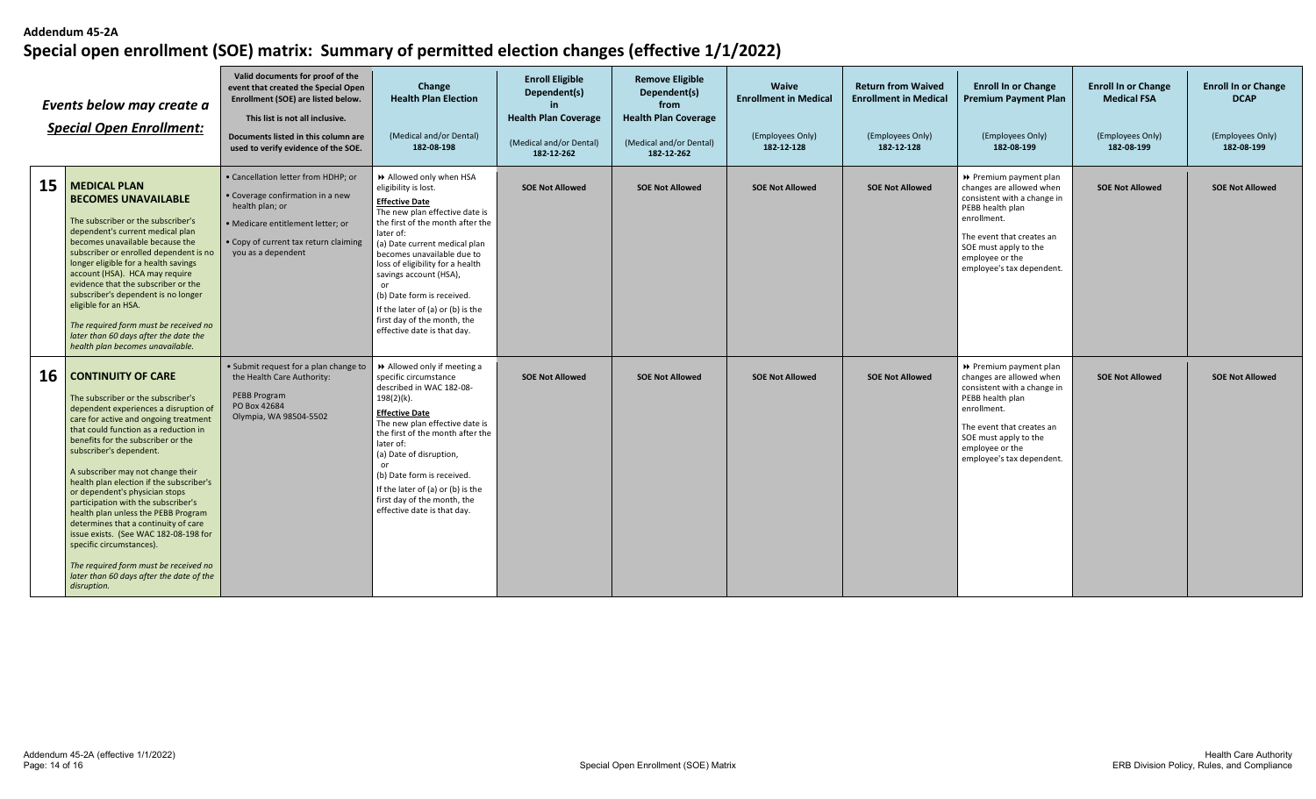| Events below may create a<br><b>Special Open Enrollment:</b> |                                                                                                                                                                                                                                                                                                                                                                                                                                                                                                                                                                                                                                                                               | Valid documents for proof of the<br>event that created the Special Open<br>Enrollment (SOE) are listed below.<br>This list is not all inclusive.<br>Documents listed in this column are<br>used to verify evidence of the SOE. | Change<br><b>Health Plan Election</b><br>(Medical and/or Dental)<br>182-08-198                                                                                                                                                                                                                                                                                                                                                   | <b>Enroll Eligible</b><br>Dependent(s)<br><b>Health Plan Coverage</b><br>(Medical and/or Dental)<br>182-12-262 | <b>Remove Eligible</b><br>Dependent(s)<br>from<br><b>Health Plan Coverage</b><br>(Medical and/or Dental)<br>182-12-262 | <b>Waive</b><br><b>Enrollment in Medical</b><br>(Employees Only)<br>182-12-128 | <b>Return from Waived</b><br><b>Enrollment in Medical</b><br>(Employees Only)<br>182-12-128 | <b>Enroll In or Change</b><br><b>Premium Payment Plan</b><br>(Employees Only)<br>182-08-199                                                                                                                                | <b>Enroll In or Change</b><br><b>Medical FSA</b><br>(Employees Only)<br>182-08-199 | <b>Enroll In or Change</b><br><b>DCAP</b><br>(Employees Only)<br>182-08-199 |
|--------------------------------------------------------------|-------------------------------------------------------------------------------------------------------------------------------------------------------------------------------------------------------------------------------------------------------------------------------------------------------------------------------------------------------------------------------------------------------------------------------------------------------------------------------------------------------------------------------------------------------------------------------------------------------------------------------------------------------------------------------|--------------------------------------------------------------------------------------------------------------------------------------------------------------------------------------------------------------------------------|----------------------------------------------------------------------------------------------------------------------------------------------------------------------------------------------------------------------------------------------------------------------------------------------------------------------------------------------------------------------------------------------------------------------------------|----------------------------------------------------------------------------------------------------------------|------------------------------------------------------------------------------------------------------------------------|--------------------------------------------------------------------------------|---------------------------------------------------------------------------------------------|----------------------------------------------------------------------------------------------------------------------------------------------------------------------------------------------------------------------------|------------------------------------------------------------------------------------|-----------------------------------------------------------------------------|
| 15                                                           | <b>MEDICAL PLAN</b><br><b>BECOMES UNAVAILABLE</b><br>The subscriber or the subscriber's<br>dependent's current medical plan<br>becomes unavailable because the<br>subscriber or enrolled dependent is no<br>longer eligible for a health savings<br>account (HSA). HCA may require<br>evidence that the subscriber or the<br>subscriber's dependent is no longer<br>eligible for an HSA.<br>The required form must be received no<br>later than 60 days after the date the<br>health plan becomes unavailable.                                                                                                                                                                | • Cancellation letter from HDHP: or<br>• Coverage confirmation in a new<br>health plan; or<br>· Medicare entitlement letter; or<br>• Copy of current tax return claiming<br>you as a dependent                                 | >> Allowed only when HSA<br>eligibility is lost.<br><b>Effective Date</b><br>The new plan effective date is<br>the first of the month after the<br>later of:<br>(a) Date current medical plan<br>becomes unavailable due to<br>loss of eligibility for a health<br>savings account (HSA),<br>or<br>(b) Date form is received.<br>If the later of (a) or (b) is the<br>first day of the month, the<br>effective date is that day. | <b>SOE Not Allowed</b>                                                                                         | <b>SOE Not Allowed</b>                                                                                                 | <b>SOE Not Allowed</b>                                                         | <b>SOE Not Allowed</b>                                                                      | ▶ Premium payment plan<br>changes are allowed when<br>consistent with a change in<br>PEBB health plan<br>enrollment.<br>The event that creates an<br>SOE must apply to the<br>employee or the<br>employee's tax dependent. | <b>SOE Not Allowed</b>                                                             | <b>SOE Not Allowed</b>                                                      |
| 16                                                           | <b>CONTINUITY OF CARE</b><br>The subscriber or the subscriber's<br>dependent experiences a disruption of<br>care for active and ongoing treatment<br>that could function as a reduction in<br>benefits for the subscriber or the<br>subscriber's dependent.<br>A subscriber may not change their<br>health plan election if the subscriber's<br>or dependent's physician stops<br>participation with the subscriber's<br>health plan unless the PEBB Program<br>determines that a continuity of care<br>issue exists. (See WAC 182-08-198 for<br>specific circumstances).<br>The required form must be received no<br>later than 60 days after the date of the<br>disruption. | • Submit request for a plan change to<br>the Health Care Authority:<br>PEBB Program<br>PO Box 42684<br>Olympia, WA 98504-5502                                                                                                  | Allowed only if meeting a<br>specific circumstance<br>described in WAC 182-08-<br>198(2)(k).<br><b>Effective Date</b><br>The new plan effective date is<br>the first of the month after the<br>later of:<br>(a) Date of disruption,<br>or<br>(b) Date form is received.<br>If the later of (a) or (b) is the<br>first day of the month, the<br>effective date is that day.                                                       | <b>SOE Not Allowed</b>                                                                                         | <b>SOE Not Allowed</b>                                                                                                 | <b>SOE Not Allowed</b>                                                         | <b>SOE Not Allowed</b>                                                                      | ▶ Premium payment plan<br>changes are allowed when<br>consistent with a change in<br>PEBB health plan<br>enrollment.<br>The event that creates an<br>SOE must apply to the<br>employee or the<br>employee's tax dependent. | <b>SOE Not Allowed</b>                                                             | <b>SOE Not Allowed</b>                                                      |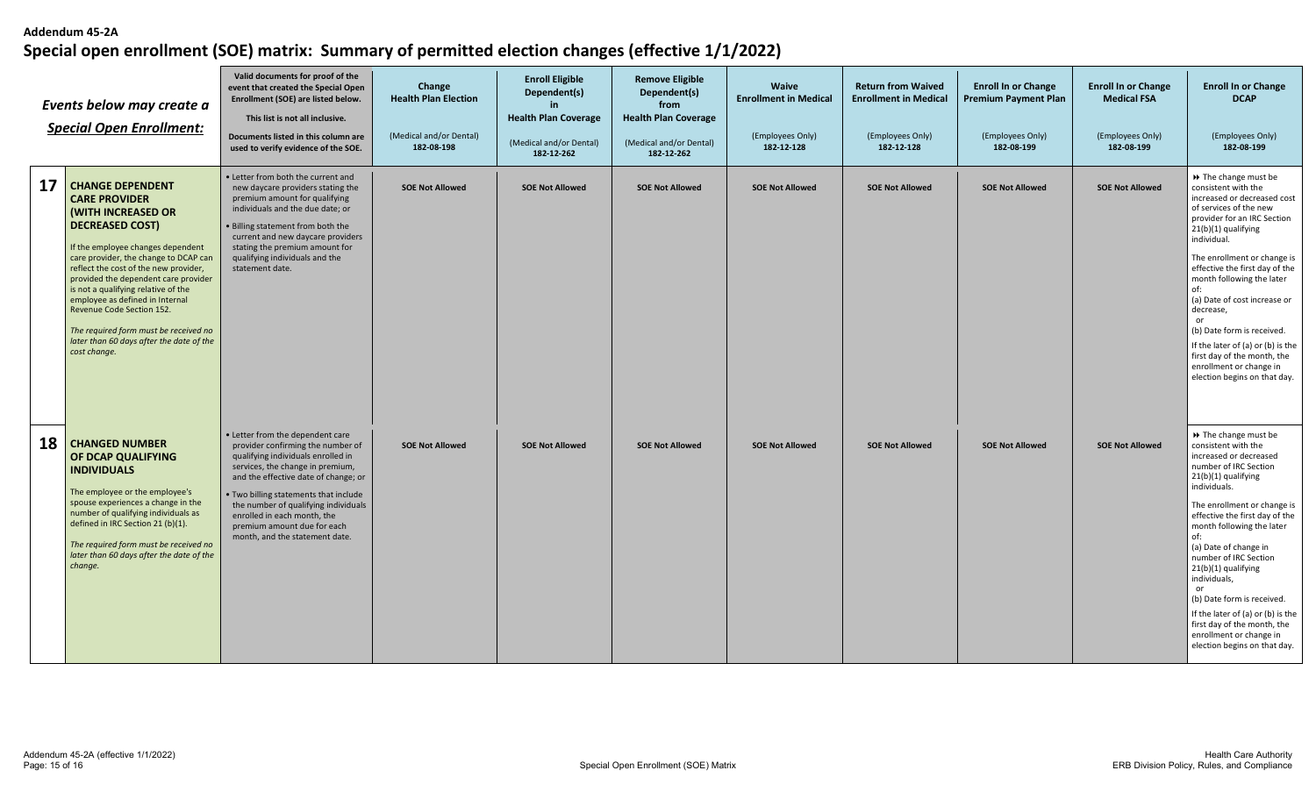| Events below may create a<br><b>Special Open Enrollment:</b> |                                                                                                                                                                                                                                                                                                                                                                                                                                                                                   | Valid documents for proof of the<br>event that created the Special Open<br>Enrollment (SOE) are listed below.<br>This list is not all inclusive.<br>Documents listed in this column are<br>used to verify evidence of the SOE.                                                                                                                                           | Change<br><b>Health Plan Election</b><br>(Medical and/or Dental)<br>182-08-198 | <b>Enroll Eligible</b><br>Dependent(s)<br><b>Health Plan Coverage</b><br>(Medical and/or Dental)<br>182-12-262 | <b>Remove Eligible</b><br>Dependent(s)<br>from<br><b>Health Plan Coverage</b><br>(Medical and/or Dental)<br>182-12-262 | <b>Waive</b><br><b>Enrollment in Medical</b><br>(Employees Only)<br>182-12-128 | <b>Return from Waived</b><br><b>Enrollment in Medical</b><br>(Employees Only)<br>182-12-128 | <b>Enroll In or Change</b><br><b>Premium Payment Plan</b><br>(Employees Only)<br>182-08-199 | <b>Enroll In or Change</b><br><b>Medical FSA</b><br>(Employees Only)<br>182-08-199 | <b>Enroll In or Change</b><br><b>DCAP</b><br>(Employees Only)<br>182-08-199                                                                                                                                                                                                                                                                                                                                                                                                                             |
|--------------------------------------------------------------|-----------------------------------------------------------------------------------------------------------------------------------------------------------------------------------------------------------------------------------------------------------------------------------------------------------------------------------------------------------------------------------------------------------------------------------------------------------------------------------|--------------------------------------------------------------------------------------------------------------------------------------------------------------------------------------------------------------------------------------------------------------------------------------------------------------------------------------------------------------------------|--------------------------------------------------------------------------------|----------------------------------------------------------------------------------------------------------------|------------------------------------------------------------------------------------------------------------------------|--------------------------------------------------------------------------------|---------------------------------------------------------------------------------------------|---------------------------------------------------------------------------------------------|------------------------------------------------------------------------------------|---------------------------------------------------------------------------------------------------------------------------------------------------------------------------------------------------------------------------------------------------------------------------------------------------------------------------------------------------------------------------------------------------------------------------------------------------------------------------------------------------------|
| 17                                                           | <b>CHANGE DEPENDENT</b><br><b>CARE PROVIDER</b><br><b>(WITH INCREASED OR</b><br><b>DECREASED COST)</b><br>If the employee changes dependent<br>care provider, the change to DCAP can<br>reflect the cost of the new provider,<br>provided the dependent care provider<br>is not a qualifying relative of the<br>employee as defined in Internal<br>Revenue Code Section 152.<br>The required form must be received no<br>later than 60 days after the date of the<br>cost change. | • Letter from both the current and<br>new daycare providers stating the<br>premium amount for qualifying<br>individuals and the due date; or<br>. Billing statement from both the<br>current and new daycare providers<br>stating the premium amount for<br>qualifying individuals and the<br>statement date.                                                            | <b>SOE Not Allowed</b>                                                         | <b>SOE Not Allowed</b>                                                                                         | <b>SOE Not Allowed</b>                                                                                                 | <b>SOE Not Allowed</b>                                                         | <b>SOE Not Allowed</b>                                                                      | <b>SOE Not Allowed</b>                                                                      | <b>SOE Not Allowed</b>                                                             | >> The change must be<br>consistent with the<br>increased or decreased cost<br>of services of the new<br>provider for an IRC Section<br>21(b)(1) qualifying<br>individual.<br>The enrollment or change is<br>effective the first day of the<br>month following the later<br>of:<br>(a) Date of cost increase or<br>decrease,<br>or<br>(b) Date form is received.<br>If the later of (a) or (b) is the<br>first day of the month, the<br>enrollment or change in<br>election begins on that day.         |
| 18                                                           | <b>CHANGED NUMBER</b><br>OF DCAP QUALIFYING<br><b>INDIVIDUALS</b><br>The employee or the employee's<br>spouse experiences a change in the<br>number of qualifying individuals as<br>defined in IRC Section 21 (b)(1).<br>The required form must be received no<br>later than 60 days after the date of the<br>change.                                                                                                                                                             | • Letter from the dependent care<br>provider confirming the number of<br>qualifying individuals enrolled in<br>services, the change in premium,<br>and the effective date of change; or<br>. Two billing statements that include<br>the number of qualifying individuals<br>enrolled in each month, the<br>premium amount due for each<br>month, and the statement date. | <b>SOE Not Allowed</b>                                                         | <b>SOE Not Allowed</b>                                                                                         | <b>SOE Not Allowed</b>                                                                                                 | <b>SOE Not Allowed</b>                                                         | <b>SOE Not Allowed</b>                                                                      | <b>SOE Not Allowed</b>                                                                      | <b>SOE Not Allowed</b>                                                             | >> The change must be<br>consistent with the<br>increased or decreased<br>number of IRC Section<br>21(b)(1) qualifying<br>individuals.<br>The enrollment or change is<br>effective the first day of the<br>month following the later<br>of:<br>(a) Date of change in<br>number of IRC Section<br>21(b)(1) qualifying<br>individuals,<br>or<br>(b) Date form is received.<br>If the later of (a) or (b) is the<br>first day of the month, the<br>enrollment or change in<br>election begins on that day. |